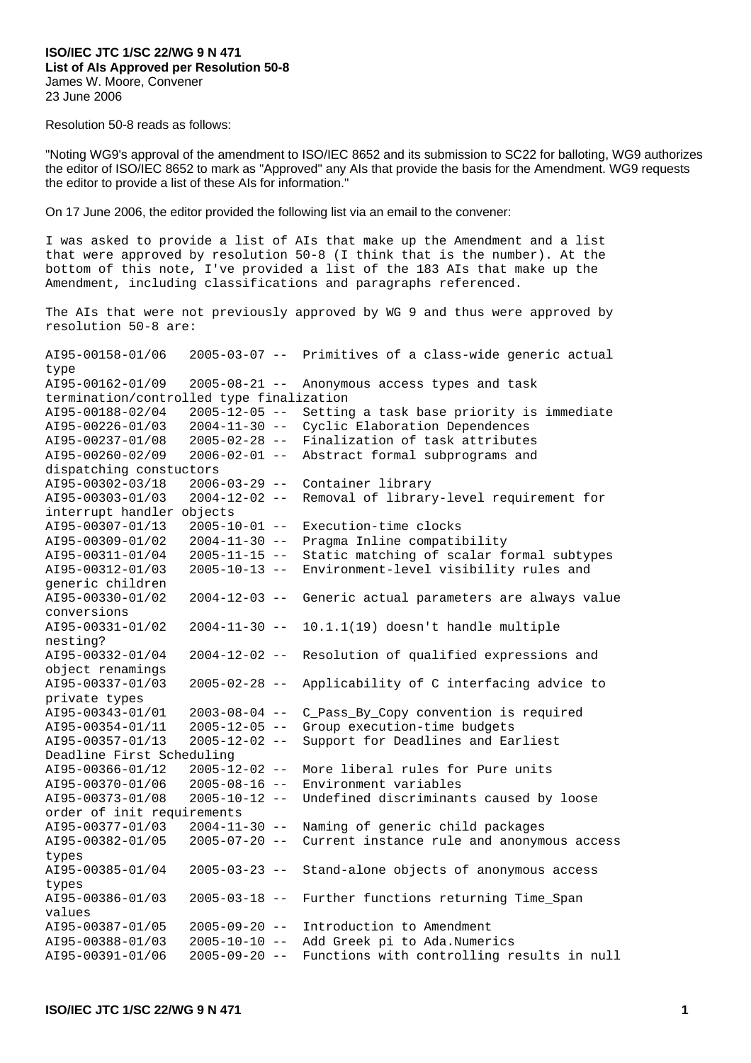## **ISO/IEC JTC 1/SC 22/WG 9 N 471 List of AIs Approved per Resolution 50-8**  James W. Moore, Convener 23 June 2006

Resolution 50-8 reads as follows:

"Noting WG9's approval of the amendment to ISO/IEC 8652 and its submission to SC22 for balloting, WG9 authorizes the editor of ISO/IEC 8652 to mark as "Approved" any AIs that provide the basis for the Amendment. WG9 requests the editor to provide a list of these AIs for information."

On 17 June 2006, the editor provided the following list via an email to the convener:

I was asked to provide a list of AIs that make up the Amendment and a list that were approved by resolution 50-8 (I think that is the number). At the bottom of this note, I've provided a list of the 183 AIs that make up the Amendment, including classifications and paragraphs referenced.

The AIs that were not previously approved by WG 9 and thus were approved by resolution 50-8 are:

 $A195-00158-01/06$  2005-03-07 -- Primitives of a class-wide generic actual type AI95-00162-01/09 2005-08-21 -- Anonymous access types and task termination/controlled type finalization AI95-00188-02/04 2005-12-05 -- Setting a task base priority is immediate AI95-00226-01/03 2004-11-30 -- Cyclic Elaboration Dependences AI95-00237-01/08 2005-02-28 -- Finalization of task attributes AI95-00260-02/09 2006-02-01 -- Abstract formal subprograms and dispatching constuctors AI95-00302-03/18 2006-03-29 -- Container library AI95-00303-01/03 2004-12-02 -- Removal of library-level requirement for interrupt handler objects AI95-00307-01/13 2005-10-01 -- Execution-time clocks AI95-00309-01/02 2004-11-30 -- Pragma Inline compatibility AI95-00311-01/04 2005-11-15 -- Static matching of scalar formal subtypes AI95-00312-01/03 2005-10-13 -- Environment-level visibility rules and generic children AI95-00330-01/02 2004-12-03 -- Generic actual parameters are always value conversions AI95-00331-01/02 2004-11-30 -- 10.1.1(19) doesn't handle multiple nesting? AI95-00332-01/04 2004-12-02 -- Resolution of qualified expressions and object renamings AI95-00337-01/03 2005-02-28 -- Applicability of C interfacing advice to private types AI95-00343-01/01 2003-08-04 -- C\_Pass\_By\_Copy convention is required AI95-00354-01/11 2005-12-05 -- Group execution-time budgets AI95-00357-01/13 2005-12-02 -- Support for Deadlines and Earliest Deadline First Scheduling AI95-00366-01/12 2005-12-02 -- More liberal rules for Pure units AI95-00370-01/06 2005-08-16 -- Environment variables AI95-00373-01/08 2005-10-12 -- Undefined discriminants caused by loose order of init requirements AI95-00377-01/03 2004-11-30 -- Naming of generic child packages AI95-00382-01/05 2005-07-20 -- Current instance rule and anonymous access types AI95-00385-01/04 2005-03-23 -- Stand-alone objects of anonymous access types AI95-00386-01/03 2005-03-18 -- Further functions returning Time\_Span values AI95-00387-01/05 2005-09-20 -- Introduction to Amendment AI95-00388-01/03 2005-10-10 -- Add Greek pi to Ada.Numerics AI95-00391-01/06 2005-09-20 -- Functions with controlling results in null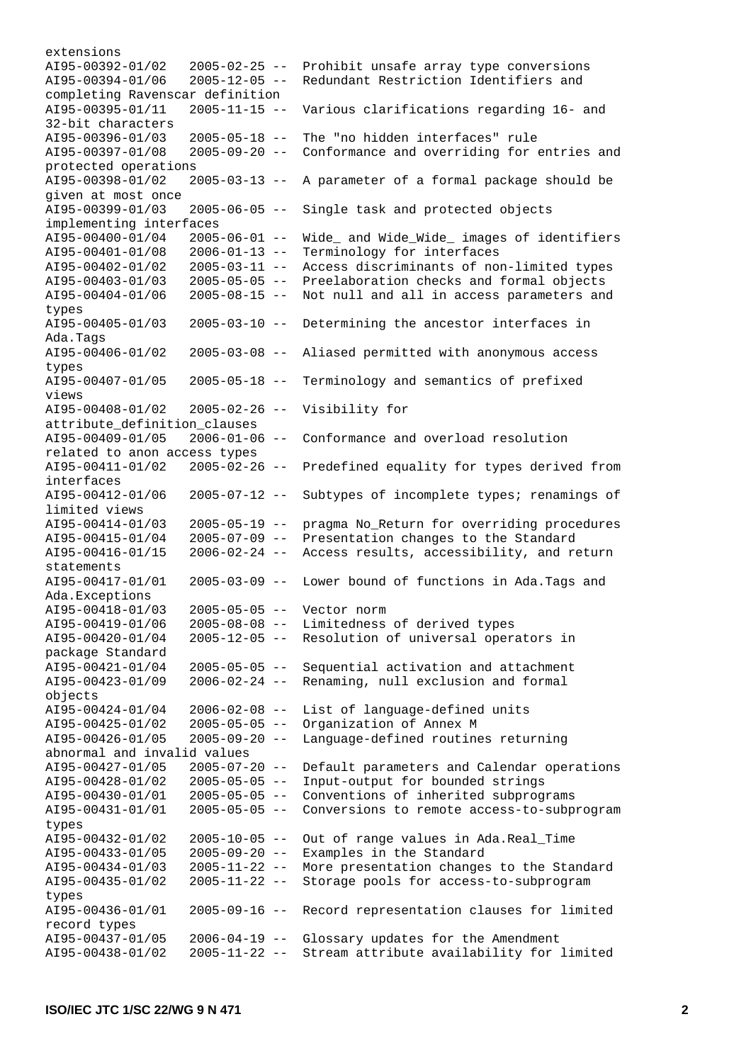extensions AI95-00392-01/02 2005-02-25 -- Prohibit unsafe array type conversions AI95-00394-01/06 2005-12-05 -- Redundant Restriction Identifiers and completing Ravenscar definition AI95-00395-01/11 2005-11-15 -- Various clarifications regarding 16- and 32-bit characters AI95-00396-01/03 2005-05-18 -- The "no hidden interfaces" rule AI95-00397-01/08 2005-09-20 -- Conformance and overriding for entries and protected operations AI95-00398-01/02 2005-03-13 -- A parameter of a formal package should be given at most once AI95-00399-01/03 2005-06-05 -- Single task and protected objects implementing interfaces AI95-00400-01/04 2005-06-01 -- Wide\_ and Wide\_Wide\_ images of identifiers AI95-00401-01/08 2006-01-13 -- Terminology for interfaces AI95-00402-01/02 2005-03-11 -- Access discriminants of non-limited types AI95-00403-01/03 2005-05-05 -- Preelaboration checks and formal objects AI95-00404-01/06 2005-08-15 -- Not null and all in access parameters and types AI95-00405-01/03 2005-03-10 -- Determining the ancestor interfaces in Ada.Tags AI95-00406-01/02 2005-03-08 -- Aliased permitted with anonymous access types AI95-00407-01/05 2005-05-18 -- Terminology and semantics of prefixed views AI95-00408-01/02 2005-02-26 -- Visibility for attribute\_definition\_clauses  $A195-00409-01/05$  2006-01-06 -- Conformance and overload resolution related to anon access types AI95-00411-01/02 2005-02-26 -- Predefined equality for types derived from interfaces AI95-00412-01/06 2005-07-12 -- Subtypes of incomplete types; renamings of limited views AI95-00414-01/03 2005-05-19 -- pragma No\_Return for overriding procedures AI95-00415-01/04 2005-07-09 -- Presentation changes to the Standard AI95-00416-01/15 2006-02-24 -- Access results, accessibility, and return statements AI95-00417-01/01 2005-03-09 -- Lower bound of functions in Ada.Tags and Ada.Exceptions AI95-00418-01/03 2005-05-05 -- Vector norm AI95-00419-01/06 2005-08-08 -- Limitedness of derived types AI95-00420-01/04 2005-12-05 -- Resolution of universal operators in package Standard AI95-00421-01/04 2005-05-05 -- Sequential activation and attachment AI95-00423-01/09 2006-02-24 -- Renaming, null exclusion and formal objects AI95-00424-01/04 2006-02-08 -- List of language-defined units AI95-00425-01/02 2005-05-05 -- Organization of Annex M AI95-00426-01/05 2005-09-20 -- Language-defined routines returning abnormal and invalid values AI95-00427-01/05 2005-07-20 -- Default parameters and Calendar operations AI95-00428-01/02 2005-05-05 -- Input-output for bounded strings AI95-00430-01/01 2005-05-05 -- Conventions of inherited subprograms AI95-00431-01/01 2005-05-05 -- Conversions to remote access-to-subprogram types AI95-00432-01/02 2005-10-05 -- Out of range values in Ada.Real\_Time AI95-00433-01/05 2005-09-20 -- Examples in the Standard AI95-00434-01/03 2005-11-22 -- More presentation changes to the Standard AI95-00435-01/02 2005-11-22 -- Storage pools for access-to-subprogram types AI95-00436-01/01 2005-09-16 -- Record representation clauses for limited record types AI95-00437-01/05 2006-04-19 -- Glossary updates for the Amendment AI95-00438-01/02 2005-11-22 -- Stream attribute availability for limited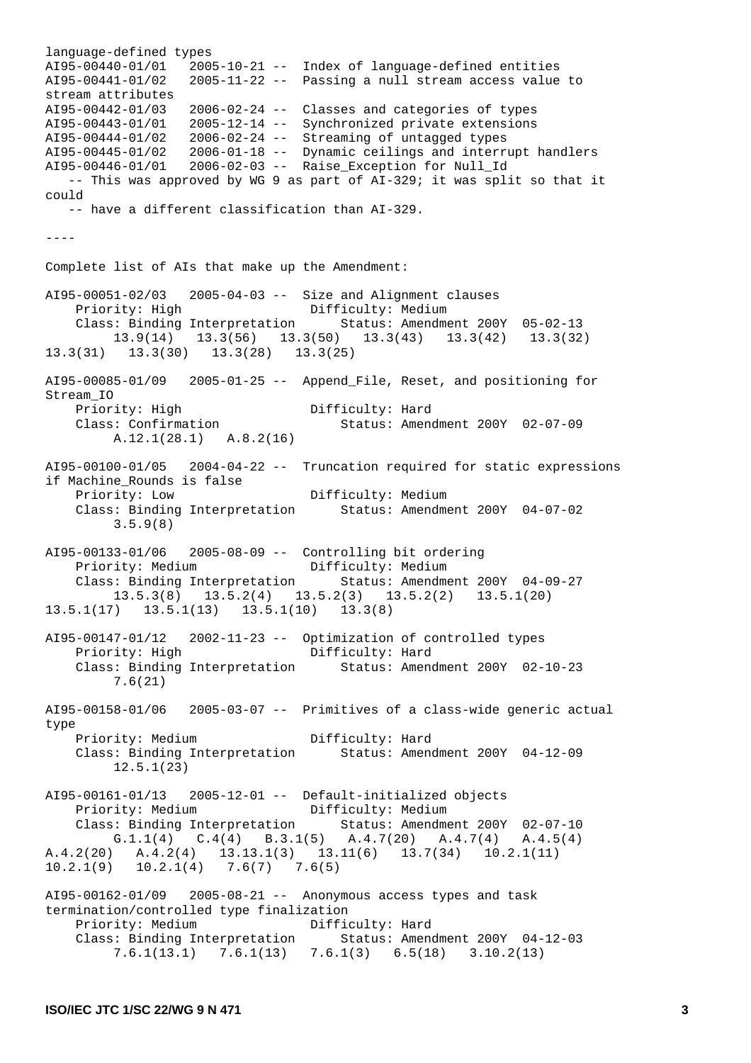language-defined types AI95-00440-01/01 2005-10-21 -- Index of language-defined entities AI95-00441-01/02 2005-11-22 -- Passing a null stream access value to stream attributes AI95-00442-01/03 2006-02-24 -- Classes and categories of types AI95-00443-01/01 2005-12-14 -- Synchronized private extensions AI95-00444-01/02 2006-02-24 -- Streaming of untagged types AI95-00445-01/02 2006-01-18 -- Dynamic ceilings and interrupt handlers AI95-00446-01/01 2006-02-03 -- Raise\_Exception for Null\_Id -- This was approved by WG 9 as part of AI-329; it was split so that it could -- have a different classification than AI-329.  $-$ Complete list of AIs that make up the Amendment: AI95-00051-02/03 2005-04-03 -- Size and Alignment clauses Priority: High Difficulty: Medium Class: Binding Interpretation Status: Amendment 200Y 05-02-13 13.9(14) 13.3(56) 13.3(50) 13.3(43) 13.3(42) 13.3(32) 13.3(31) 13.3(30) 13.3(28) 13.3(25) AI95-00085-01/09 2005-01-25 -- Append\_File, Reset, and positioning for Stream\_IO Priority: High Difficulty: Hard Class: Confirmation Status: Amendment 200Y 02-07-09 A.12.1(28.1) A.8.2(16) AI95-00100-01/05 2004-04-22 -- Truncation required for static expressions if Machine\_Rounds is false Priority: Low Difficulty: Medium Class: Binding Interpretation Status: Amendment 200Y 04-07-02 3.5.9(8) AI95-00133-01/06 2005-08-09 -- Controlling bit ordering Priority: Medium Difficulty: Medium Class: Binding Interpretation Status: Amendment 200Y 04-09-27 13.5.3(8) 13.5.2(4) 13.5.2(3) 13.5.2(2) 13.5.1(20) 13.5.1(17) 13.5.1(13) 13.5.1(10) 13.3(8) AI95-00147-01/12 2002-11-23 -- Optimization of controlled types Difficulty: Hard Class: Binding Interpretation Status: Amendment 200Y 02-10-23 7.6(21) AI95-00158-01/06 2005-03-07 -- Primitives of a class-wide generic actual type Priority: Medium Difficulty: Hard Class: Binding Interpretation Status: Amendment 200Y 04-12-09 12.5.1(23) AI95-00161-01/13 2005-12-01 -- Default-initialized objects Priority: Medium Difficulty: Medium Class: Binding Interpretation Status: Amendment 200Y 02-07-10 G.1.1(4) C.4(4) B.3.1(5) A.4.7(20) A.4.7(4) A.4.5(4) A.4.2(20) A.4.2(4) 13.13.1(3) 13.11(6) 13.7(34) 10.2.1(11) 10.2.1(9) 10.2.1(4) 7.6(7) 7.6(5) AI95-00162-01/09 2005-08-21 -- Anonymous access types and task termination/controlled type finalization Priority: Medium Difficulty: Hard Class: Binding Interpretation Status: Amendment 200Y 04-12-03 7.6.1(13.1) 7.6.1(13) 7.6.1(3) 6.5(18) 3.10.2(13)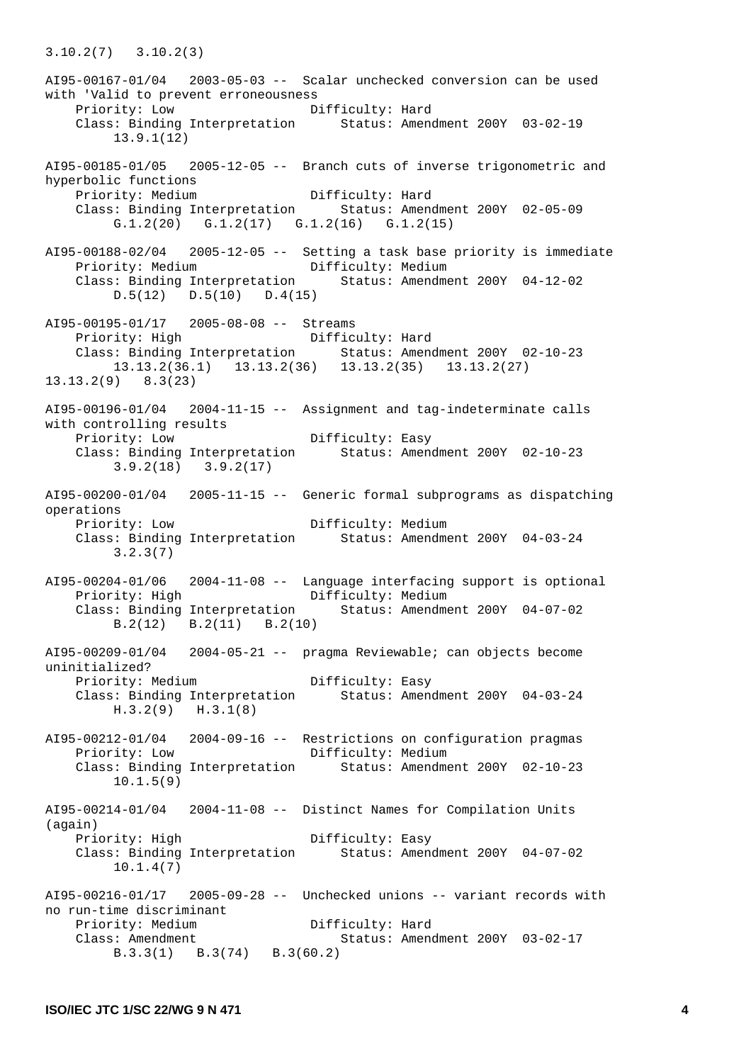AI95-00167-01/04 2003-05-03 -- Scalar unchecked conversion can be used with 'Valid to prevent erroneousness Priority: Low Difficulty: Hard Class: Binding Interpretation Status: Amendment 200Y 03-02-19 13.9.1(12) AI95-00185-01/05 2005-12-05 -- Branch cuts of inverse trigonometric and hyperbolic functions Priority: Medium Difficulty: Hard Class: Binding Interpretation Status: Amendment 200Y 02-05-09 G.1.2(20) G.1.2(17) G.1.2(16) G.1.2(15) AI95-00188-02/04 2005-12-05 -- Setting a task base priority is immediate Priority: Medium Class: Binding Interpretation Status: Amendment 200Y 04-12-02 D.5(12) D.5(10) D.4(15) AI95-00195-01/17 2005-08-08 -- Streams Priority: High Difficulty: Hard Class: Binding Interpretation Status: Amendment 200Y 02-10-23 13.13.2(36.1) 13.13.2(36) 13.13.2(35) 13.13.2(27) 13.13.2(9) 8.3(23) AI95-00196-01/04 2004-11-15 -- Assignment and tag-indeterminate calls with controlling results Priority: Low Difficulty: Easy Class: Binding Interpretation Status: Amendment 200Y 02-10-23 3.9.2(18) 3.9.2(17) AI95-00200-01/04 2005-11-15 -- Generic formal subprograms as dispatching operations Priority: Low Difficulty: Medium<br>Class: Binding Interpretation Status: Amendme Status: Amendment 200Y 04-03-24 3.2.3(7) AI95-00204-01/06 2004-11-08 -- Language interfacing support is optional Priority: High Difficulty: Medium Class: Binding Interpretation Status: Amendment 200Y 04-07-02 B.2(12) B.2(11) B.2(10) AI95-00209-01/04 2004-05-21 -- pragma Reviewable; can objects become uninitialized? Priority: Medium Difficulty: Easy Class: Binding Interpretation Status: Amendment 200Y 04-03-24 H.3.2(9) H.3.1(8) AI95-00212-01/04 2004-09-16 -- Restrictions on configuration pragmas Priority: Low Difficulty: Medium Class: Binding Interpretation Status: Amendment 200Y 02-10-23 10.1.5(9) AI95-00214-01/04 2004-11-08 -- Distinct Names for Compilation Units (again) Priority: High Difficulty: Easy Class: Binding Interpretation Status: Amendment 200Y 04-07-02 10.1.4(7) AI95-00216-01/17 2005-09-28 -- Unchecked unions -- variant records with no run-time discriminant Priority: Medium Difficulty: Hard Class: Amendment Status: Amendment 200Y 03-02-17 B.3.3(1) B.3(74) B.3(60.2)

3.10.2(7) 3.10.2(3)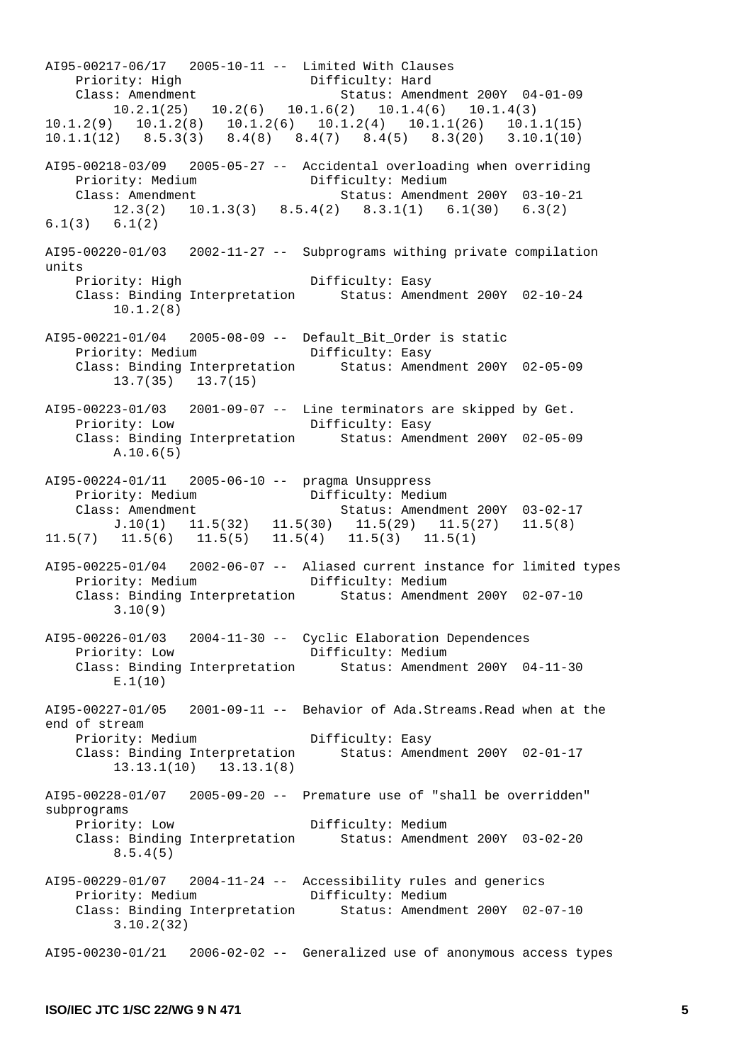AI95-00217-06/17 2005-10-11 -- Limited With Clauses Priority: High Difficulty: Hard Class: Amendment Status: Amendment 200Y 04-01-09 10.2.1(25) 10.2(6) 10.1.6(2) 10.1.4(6) 10.1.4(3) 10.1.2(9) 10.1.2(8) 10.1.2(6) 10.1.2(4) 10.1.1(26) 10.1.1(15) 10.1.1(12) 8.5.3(3) 8.4(8) 8.4(7) 8.4(5) 8.3(20) 3.10.1(10) AI95-00218-03/09 2005-05-27 -- Accidental overloading when overriding Priority: Medium Difficulty: Medium Class: Amendment Status: Amendment 200Y 03-10-21 12.3(2) 10.1.3(3) 8.5.4(2) 8.3.1(1) 6.1(30) 6.3(2) 6.1(3) 6.1(2) AI95-00220-01/03 2002-11-27 -- Subprograms withing private compilation units<br>Priority: High Difficulty: Easy Class: Binding Interpretation Status: Amendment 200Y 02-10-24 10.1.2(8) AI95-00221-01/04 2005-08-09 -- Default\_Bit\_Order is static Priority: Medium Class: Binding Interpretation Status: Amendment 200Y 02-05-09 13.7(35) 13.7(15) AI95-00223-01/03 2001-09-07 -- Line terminators are skipped by Get. Priority: Low Difficulty: Easy Class: Binding Interpretation Status: Amendment 200Y 02-05-09 A.10.6(5) AI95-00224-01/11 2005-06-10 -- pragma Unsuppress Priority: Medium Class: Amendment Status: Amendment 200Y 03-02-17 J.10(1) 11.5(32) 11.5(30) 11.5(29) 11.5(27) 11.5(8) 11.5(7) 11.5(6) 11.5(5) 11.5(4) 11.5(3) 11.5(1) AI95-00225-01/04 2002-06-07 -- Aliased current instance for limited types Priority: Medium Difficulty: Medium<br>Class: Binding Interpretation Status: Amendme Status: Amendment 200Y 02-07-10 3.10(9) AI95-00226-01/03 2004-11-30 -- Cyclic Elaboration Dependences Priority: Low Difficulty: Medium Class: Binding Interpretation Status: Amendment 200Y 04-11-30 E.1(10) AI95-00227-01/05 2001-09-11 -- Behavior of Ada.Streams.Read when at the end of stream Priority: Medium Difficulty: Easy Class: Binding Interpretation Status: Amendment 200Y 02-01-17 13.13.1(10) 13.13.1(8)  $A195-00228-01/07$  2005-09-20 -- Premature use of "shall be overridden" subprograms Priority: Low Difficulty: Medium Class: Binding Interpretation Status: Amendment 200Y 03-02-20 8.5.4(5) AI95-00229-01/07 2004-11-24 -- Accessibility rules and generics Priority: Medium Difficulty: Medium Class: Binding Interpretation Status: Amendment 200Y 02-07-10 3.10.2(32)  $A195-00230-01/21$  2006-02-02 -- Generalized use of anonymous access types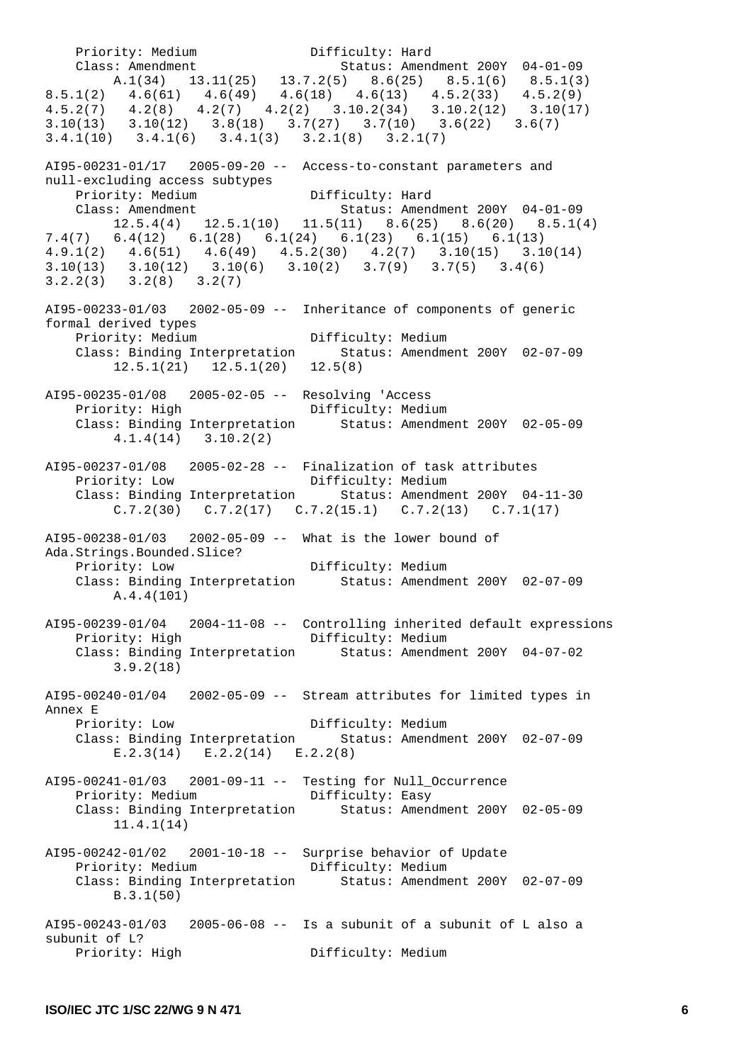Priority: Medium Difficulty: Hard Class: Amendment Status: Amendment 200Y 04-01-09 A.1(34) 13.11(25) 13.7.2(5) 8.6(25) 8.5.1(6) 8.5.1(3) 8.5.1(2) 4.6(61) 4.6(49) 4.6(18) 4.6(13) 4.5.2(33) 4.5.2(9) 4.5.2(7) 4.2(8) 4.2(7) 4.2(2) 3.10.2(34) 3.10.2(12) 3.10(17)  $3.10(13)$   $3.10(12)$   $3.8(18)$   $3.7(27)$   $3.7(10)$   $3.6(22)$   $3.6(7)$ 3.4.1(10) 3.4.1(6) 3.4.1(3) 3.2.1(8) 3.2.1(7) AI95-00231-01/17 2005-09-20 -- Access-to-constant parameters and null-excluding access subtypes Priority: Medium Difficulty: Hard<br>Class: Amendment Status: Amend Status: Amendment 200Y 04-01-09 12.5.4(4) 12.5.1(10) 11.5(11) 8.6(25) 8.6(20) 8.5.1(4) 7.4(7) 6.4(12) 6.1(28) 6.1(24) 6.1(23) 6.1(15) 6.1(13) 4.9.1(2) 4.6(51) 4.6(49) 4.5.2(30) 4.2(7) 3.10(15) 3.10(14) 3.10(13) 3.10(12) 3.10(6) 3.10(2) 3.7(9) 3.7(5) 3.4(6) 3.2.2(3) 3.2(8) 3.2(7) AI95-00233-01/03 2002-05-09 -- Inheritance of components of generic formal derived types Priority: Medium Difficulty: Medium Class: Binding Interpretation Status: Amendment 200Y 02-07-09  $12.5.1(21)$   $12.5.1(20)$   $12.5(8)$ AI95-00235-01/08 2005-02-05 -- Resolving 'Access Priority: High Class: Binding Interpretation Status: Amendment 200Y 02-05-09 4.1.4(14) 3.10.2(2) AI95-00237-01/08 2005-02-28 -- Finalization of task attributes Priority: Low Difficulty: Medium Class: Binding Interpretation Status: Amendment 200Y 04-11-30  $C.7.2(30)$   $C.7.2(17)$   $C.7.2(15.1)$   $C.7.2(13)$   $C.7.1(17)$ AI95-00238-01/03 2002-05-09 -- What is the lower bound of Ada.Strings.Bounded.Slice? Priority: Low Difficulty: Medium Class: Binding Interpretation Status: Amendment 200Y 02-07-09 A.4.4(101) AI95-00239-01/04 2004-11-08 -- Controlling inherited default expressions Priority: High Class: Binding Interpretation Status: Amendment 200Y 04-07-02 3.9.2(18) AI95-00240-01/04 2002-05-09 -- Stream attributes for limited types in Annex E Priority: Low Difficulty: Medium Class: Binding Interpretation Status: Amendment 200Y 02-07-09 E.2.3(14) E.2.2(14) E.2.2(8) AI95-00241-01/03 2001-09-11 -- Testing for Null\_Occurrence Priority: Medium Difficulty: Easy Class: Binding Interpretation Status: Amendment 200Y 02-05-09 11.4.1(14) AI95-00242-01/02 2001-10-18 -- Surprise behavior of Update Priority: Medium Difficulty: Medium Class: Binding Interpretation Status: Amendment 200Y 02-07-09 B.3.1(50) AI95-00243-01/03 2005-06-08 -- Is a subunit of a subunit of L also a subunit of L? Priority: High Difficulty: Medium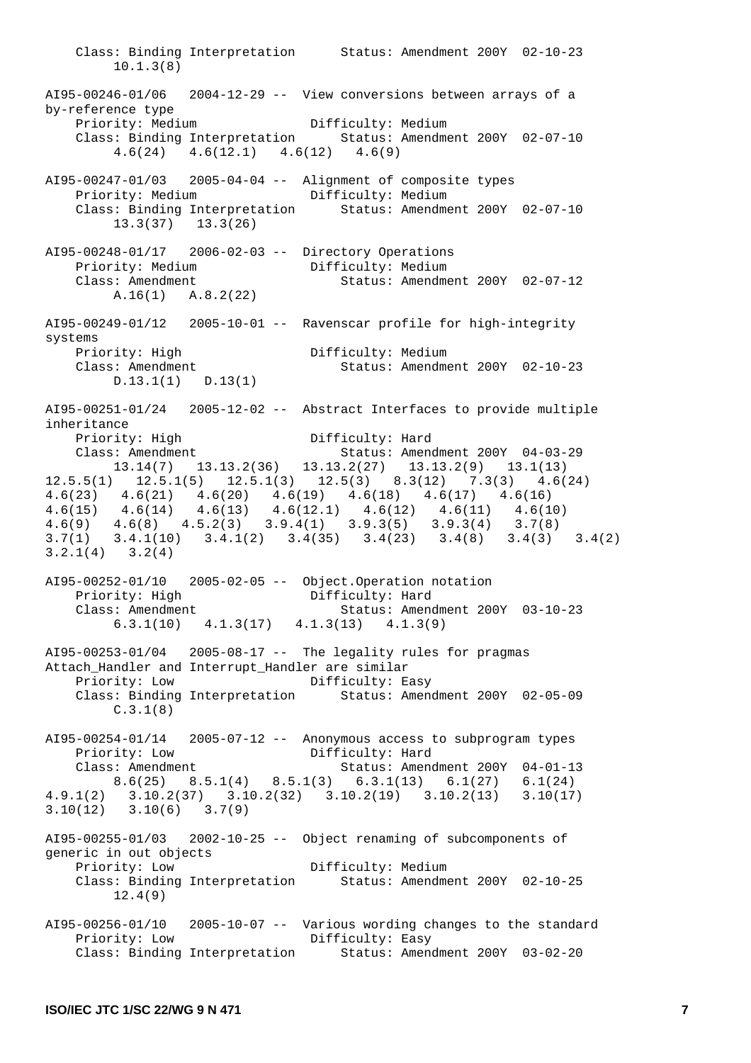Class: Binding Interpretation Status: Amendment 200Y 02-10-23 10.1.3(8) AI95-00246-01/06 2004-12-29 -- View conversions between arrays of a by-reference type Priority: Medium Difficulty: Medium Class: Binding Interpretation Status: Amendment 200Y 02-07-10 4.6(24) 4.6(12.1) 4.6(12) 4.6(9) AI95-00247-01/03 2005-04-04 -- Alignment of composite types Priority: Medium Difficulty: Medium Class: Binding Interpretation Status: Amendment 200Y 02-07-10 13.3(37) 13.3(26) AI95-00248-01/17 2006-02-03 -- Directory Operations Priority: Medium Class: Amendment Status: Amendment 200Y 02-07-12 A.16(1) A.8.2(22) AI95-00249-01/12 2005-10-01 -- Ravenscar profile for high-integrity systems Priority: High Difficulty: Medium Class: Amendment Status: Amendment 200Y 02-10-23 D.13.1(1) D.13(1) AI95-00251-01/24 2005-12-02 -- Abstract Interfaces to provide multiple inheritance Priority: High Difficulty: Hard Class: Amendment Status: Amendment 200Y 04-03-29 13.14(7) 13.13.2(36) 13.13.2(27) 13.13.2(9) 13.1(13) 12.5.5(1) 12.5.1(5) 12.5.1(3) 12.5(3) 8.3(12) 7.3(3) 4.6(24) 4.6(23) 4.6(21) 4.6(20) 4.6(19) 4.6(18) 4.6(17) 4.6(16) 4.6(15) 4.6(14) 4.6(13) 4.6(12.1) 4.6(12) 4.6(11) 4.6(10) 4.6(9) 4.6(8) 4.5.2(3) 3.9.4(1) 3.9.3(5) 3.9.3(4) 3.7(8) 3.7(1) 3.4.1(10) 3.4.1(2) 3.4(35) 3.4(23) 3.4(8) 3.4(3) 3.4(2) 3.2.1(4) 3.2(4) AI95-00252-01/10 2005-02-05 -- Object.Operation notation Priority: High Difficulty: Hard Class: Amendment Status: Amendment 200Y 03-10-23 6.3.1(10) 4.1.3(17) 4.1.3(13) 4.1.3(9) AI95-00253-01/04 2005-08-17 -- The legality rules for pragmas Attach\_Handler and Interrupt\_Handler are similar Priority: Low Difficulty: Easy Class: Binding Interpretation Status: Amendment 200Y 02-05-09 C.3.1(8)  $A195-00254-01/14$  2005-07-12 -- Anonymous access to subprogram types Priority: Low Difficulty: Hard Class: Amendment Status: Amendment 200Y 04-01-13 8.6(25) 8.5.1(4) 8.5.1(3) 6.3.1(13) 6.1(27) 6.1(24) 4.9.1(2) 3.10.2(37) 3.10.2(32) 3.10.2(19) 3.10.2(13) 3.10(17) 3.10(12) 3.10(6) 3.7(9) AI95-00255-01/03 2002-10-25 -- Object renaming of subcomponents of generic in out objects Priority: Low Difficulty: Medium Class: Binding Interpretation Status: Amendment 200Y 02-10-25 12.4(9) AI95-00256-01/10 2005-10-07 -- Various wording changes to the standard Priority: Low Difficulty: Easy Class: Binding Interpretation Status: Amendment 200Y 03-02-20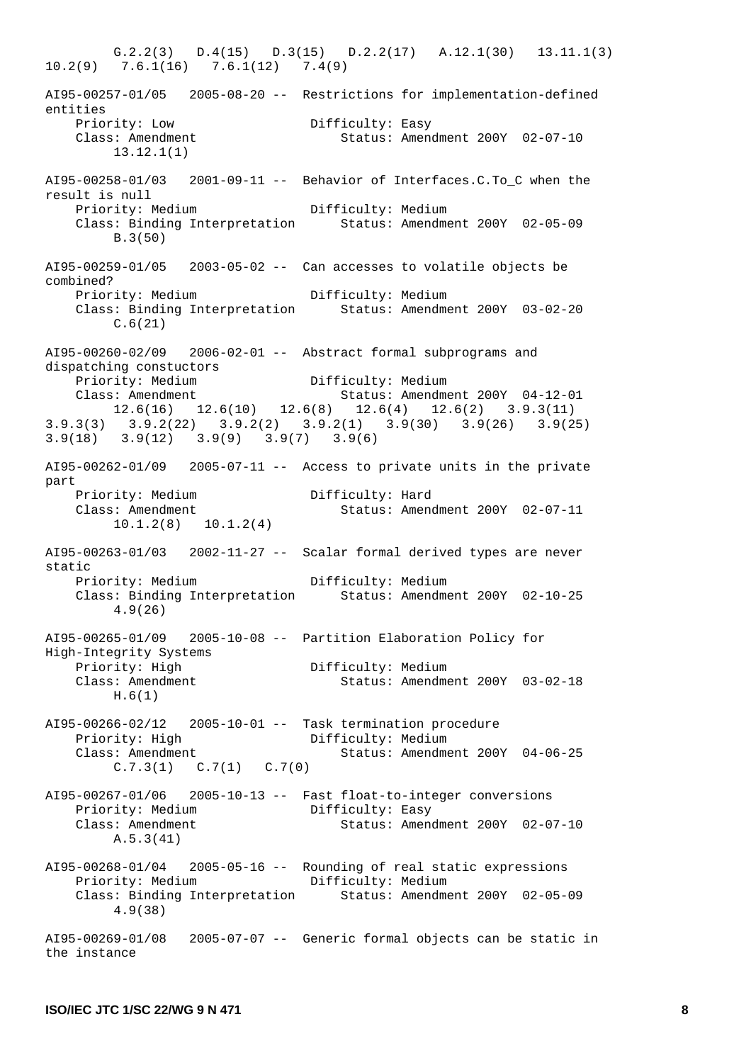G.2.2(3) D.4(15) D.3(15) D.2.2(17) A.12.1(30) 13.11.1(3) 10.2(9) 7.6.1(16) 7.6.1(12) 7.4(9) AI95-00257-01/05 2005-08-20 -- Restrictions for implementation-defined entities Priority: Low Difficulty: Easy Class: Amendment Status: Amendment 200Y 02-07-10 13.12.1(1)  $A195-00258-01/03$  2001-09-11 -- Behavior of Interfaces.C.To C when the result is null Priority: Medium Difficulty: Medium Class: Binding Interpretation Status: Amendment 200Y 02-05-09 B.3(50) AI95-00259-01/05 2003-05-02 -- Can accesses to volatile objects be combined? Priority: Medium Difficulty: Medium<br>Class: Binding Interpretation Status: Amendme Class: Binding Interpretation Status: Amendment 200Y 03-02-20 C.6(21) AI95-00260-02/09 2006-02-01 -- Abstract formal subprograms and dispatching constuctors Priority: Medium Difficulty: Medium Status: Amendment 200Y 04-12-01  $12.6(16)$   $12.6(10)$   $12.6(8)$   $12.6(4)$   $12.6(2)$   $3.9.3(11)$ 3.9.3(3) 3.9.2(22) 3.9.2(2) 3.9.2(1) 3.9(30) 3.9(26) 3.9(25) 3.9(18) 3.9(12) 3.9(9) 3.9(7) 3.9(6) AI95-00262-01/09 2005-07-11 -- Access to private units in the private part Priority: Medium Difficulty: Hard Class: Amendment Status: Amendment 200Y 02-07-11 10.1.2(8) 10.1.2(4) AI95-00263-01/03 2002-11-27 -- Scalar formal derived types are never static Priority: Medium Difficulty: Medium<br>Class: Binding Interpretation Status: Amendme Status: Amendment 200Y 02-10-25 4.9(26) AI95-00265-01/09 2005-10-08 -- Partition Elaboration Policy for High-Integrity Systems Priority: High Difficulty: Medium<br>Class: Amendment Status: Amendme Status: Amendment 200Y 03-02-18 H.6(1) AI95-00266-02/12 2005-10-01 -- Task termination procedure Priority: High Difficulty: Medium Class: Amendment Status: Amendment 200Y 04-06-25  $C.7.3(1)$   $C.7(1)$   $C.7(0)$ AI95-00267-01/06 2005-10-13 -- Fast float-to-integer conversions Priority: Medium Difficulty: Easy Class: Amendment Status: Amendment 200Y 02-07-10 A.5.3(41) AI95-00268-01/04 2005-05-16 -- Rounding of real static expressions Priority: Medium Difficulty: Medium Class: Binding Interpretation Status: Amendment 200Y 02-05-09 4.9(38) AI95-00269-01/08 2005-07-07 -- Generic formal objects can be static in the instance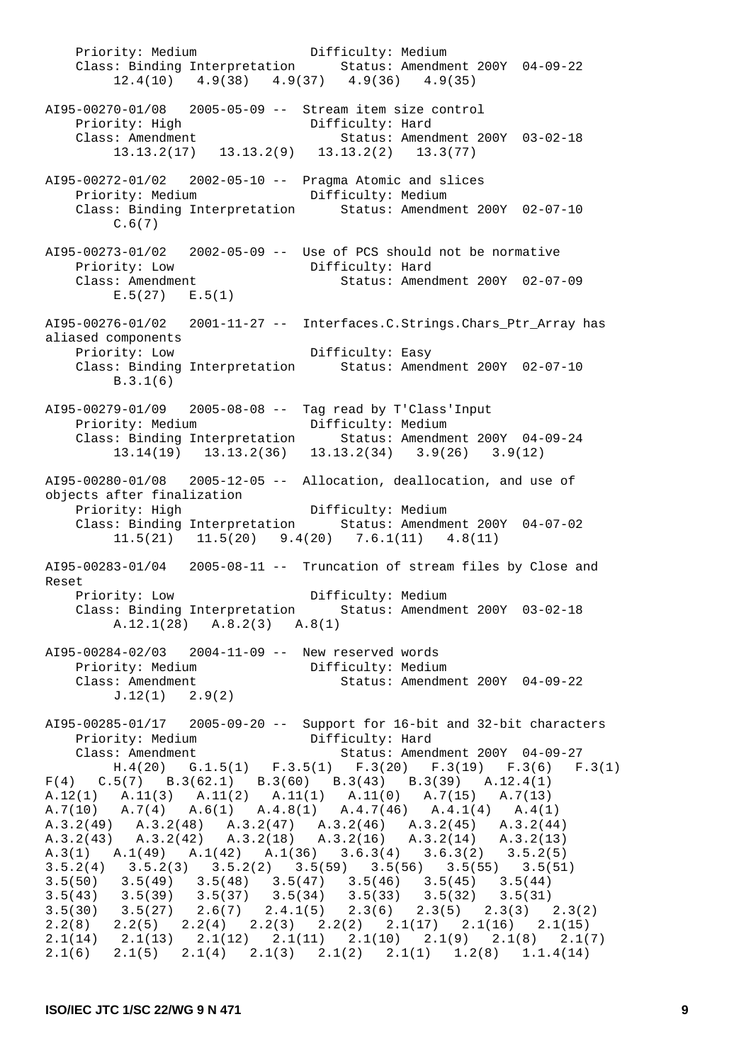Priority: Medium Difficulty: Medium Class: Binding Interpretation Status: Amendment 200Y 04-09-22 12.4(10) 4.9(38) 4.9(37) 4.9(36) 4.9(35) AI95-00270-01/08 2005-05-09 -- Stream item size control Priority: High<br>Class: Amendment Status: Amendment 200Y 03-02-18 13.13.2(17) 13.13.2(9) 13.13.2(2) 13.3(77) AI95-00272-01/02 2002-05-10 -- Pragma Atomic and slices Priority: Medium **Difficulty: Medium**  Class: Binding Interpretation Status: Amendment 200Y 02-07-10  $C.6(7)$ AI95-00273-01/02 2002-05-09 -- Use of PCS should not be normative Priority: Low<br>Class: Amendment Status: Amendment 200Y 02-07-09 E.5(27) E.5(1) AI95-00276-01/02 2001-11-27 -- Interfaces.C.Strings.Chars\_Ptr\_Array has aliased components Difficulty: Easy Class: Binding Interpretation Status: Amendment 200Y 02-07-10 B.3.1(6) AI95-00279-01/09 2005-08-08 -- Tag read by T'Class'Input Priority: Medium Difficulty: Medium Class: Binding Interpretation Status: Amendment 200Y 04-09-24 13.14(19) 13.13.2(36) 13.13.2(34) 3.9(26) 3.9(12) AI95-00280-01/08 2005-12-05 -- Allocation, deallocation, and use of objects after finalization Priority: High Difficulty: Medium Class: Binding Interpretation Status: Amendment 200Y 04-07-02 11.5(21) 11.5(20) 9.4(20) 7.6.1(11) 4.8(11) AI95-00283-01/04 2005-08-11 -- Truncation of stream files by Close and Reset Priority: Low Difficulty: Medium Class: Binding Interpretation Status: Amendment 200Y 03-02-18 A.12.1(28) A.8.2(3) A.8(1) AI95-00284-02/03 2004-11-09 -- New reserved words Priority: Medium Difficulty: Medium Class: Amendment Status: Amendment 200Y 04-09-22 J.12(1) 2.9(2) AI95-00285-01/17 2005-09-20 -- Support for 16-bit and 32-bit characters Priority: Medium  $\overrightarrow{Difficulty}$ : Hard<br>Class: Amendment Status: Ameno Class: Amendment Status: Amendment 200Y 04-09-27 H.4(20) G.1.5(1) F.3.5(1) F.3(20) F.3(19) F.3(6) F.3(1)  $F(4)$  C.5(7) B.3(62.1) B.3(60) B.3(43) B.3(39) A.12.4(1) A.12(1) A.11(3) A.11(2) A.11(1) A.11(0) A.7(15) A.7(13) A.7(10) A.7(4) A.6(1) A.4.8(1) A.4.7(46) A.4.1(4) A.4(1) A.3.2(49) A.3.2(48) A.3.2(47) A.3.2(46) A.3.2(45) A.3.2(44) A.3.2(43) A.3.2(42) A.3.2(18) A.3.2(16) A.3.2(14) A.3.2(13) A.3(1) A.1(49) A.1(42) A.1(36) 3.6.3(4) 3.6.3(2) 3.5.2(5) 3.5.2(4) 3.5.2(3) 3.5.2(2) 3.5(59) 3.5(56) 3.5(55) 3.5(51) 3.5(50) 3.5(49) 3.5(48) 3.5(47) 3.5(46) 3.5(45) 3.5(44) 3.5(43) 3.5(39) 3.5(37) 3.5(34) 3.5(33) 3.5(32) 3.5(31) 3.5(30) 3.5(27) 2.6(7) 2.4.1(5) 2.3(6) 2.3(5) 2.3(3) 2.3(2) 2.2(8) 2.2(5) 2.2(4) 2.2(3) 2.2(2) 2.1(17) 2.1(16) 2.1(15) 2.1(14) 2.1(13) 2.1(12) 2.1(11) 2.1(10) 2.1(9) 2.1(8) 2.1(7) 2.1(6) 2.1(5) 2.1(4) 2.1(3) 2.1(2) 2.1(1) 1.2(8) 1.1.4(14)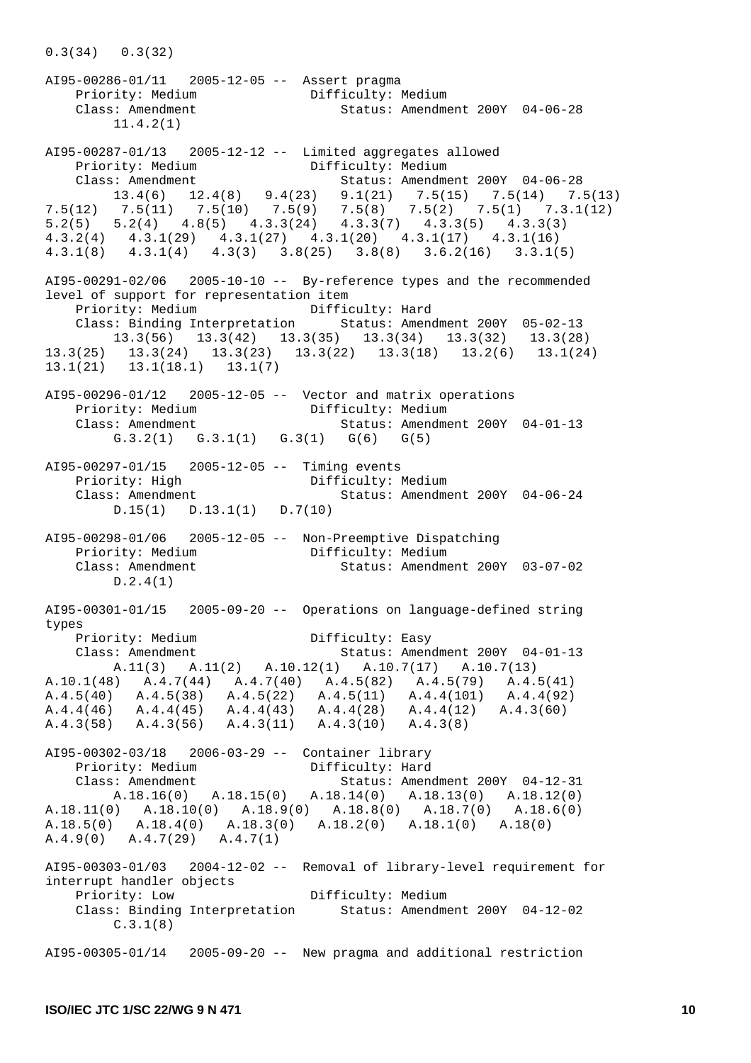AI95-00286-01/11 2005-12-05 -- Assert pragma<br>Priority: Medium Difficulty: Medium Priority: Medium Class: Amendment Status: Amendment 200Y 04-06-28 11.4.2(1) AI95-00287-01/13 2005-12-12 -- Limited aggregates allowed Priority: Medium Difficulty: Medium Class: Amendment Status: Amendment 200Y 04-06-28 13.4(6) 12.4(8) 9.4(23) 9.1(21) 7.5(15) 7.5(14) 7.5(13) 7.5(12) 7.5(11) 7.5(10) 7.5(9) 7.5(8) 7.5(2) 7.5(1) 7.3.1(12) 5.2(5) 5.2(4) 4.8(5) 4.3.3(24) 4.3.3(7) 4.3.3(5) 4.3.3(3) 4.3.2(4) 4.3.1(29) 4.3.1(27) 4.3.1(20) 4.3.1(17) 4.3.1(16) 4.3.1(8) 4.3.1(4) 4.3(3) 3.8(25) 3.8(8) 3.6.2(16) 3.3.1(5) AI95-00291-02/06 2005-10-10 -- By-reference types and the recommended level of support for representation item<br>Priority: Medium Diffic Difficulty: Hard Class: Binding Interpretation Status: Amendment 200Y 05-02-13 13.3(56) 13.3(42) 13.3(35) 13.3(34) 13.3(32) 13.3(28) 13.3(25) 13.3(24) 13.3(23) 13.3(22) 13.3(18) 13.2(6) 13.1(24) 13.1(21) 13.1(18.1) 13.1(7) AI95-00296-01/12 2005-12-05 -- Vector and matrix operations Priority: Medium Difficulty: Medium Status: Amendment 200Y 04-01-13 G.3.2(1) G.3.1(1) G.3(1) G(6) G(5) AI95-00297-01/15 2005-12-05 -- Timing events Priority: High Difficulty: Medium Class: Amendment Status: Amendment 200Y 04-06-24 D.15(1) D.13.1(1) D.7(10) AI95-00298-01/06 2005-12-05 -- Non-Preemptive Dispatching Priority: Medium Difficulty: Medium Class: Amendment Status: Amendment 200Y 03-07-02 D.2.4(1) AI95-00301-01/15 2005-09-20 -- Operations on language-defined string types Priority: Medium Difficulty: Easy Status: Amendment 200Y 04-01-13 A.11(3) A.11(2) A.10.12(1) A.10.7(17) A.10.7(13) A.10.1(48) A.4.7(44) A.4.7(40) A.4.5(82) A.4.5(79) A.4.5(41) A.4.5(40) A.4.5(38) A.4.5(22) A.4.5(11) A.4.4(101) A.4.4(92) A.4.4(46) A.4.4(45) A.4.4(43) A.4.4(28) A.4.4(12) A.4.3(60) A.4.3(58) A.4.3(56) A.4.3(11) A.4.3(10) A.4.3(8) AI95-00302-03/18 2006-03-29 -- Container library Priority: Medium Difficulty: Hard<br>Class: Americant Class Status: American Class: Amendment Status: Amendment 200Y 04-12-31 A.18.16(0) A.18.15(0) A.18.14(0) A.18.13(0) A.18.12(0) A.18.11(0) A.18.10(0) A.18.9(0) A.18.8(0) A.18.7(0) A.18.6(0) A.18.5(0) A.18.4(0) A.18.3(0) A.18.2(0) A.18.1(0) A.18(0) A.4.9(0) A.4.7(29) A.4.7(1) AI95-00303-01/03 2004-12-02 -- Removal of library-level requirement for interrupt handler objects Priority: Low Difficulty: Medium Class: Binding Interpretation Status: Amendment 200Y 04-12-02 C.3.1(8) AI95-00305-01/14 2005-09-20 -- New pragma and additional restriction

0.3(34) 0.3(32)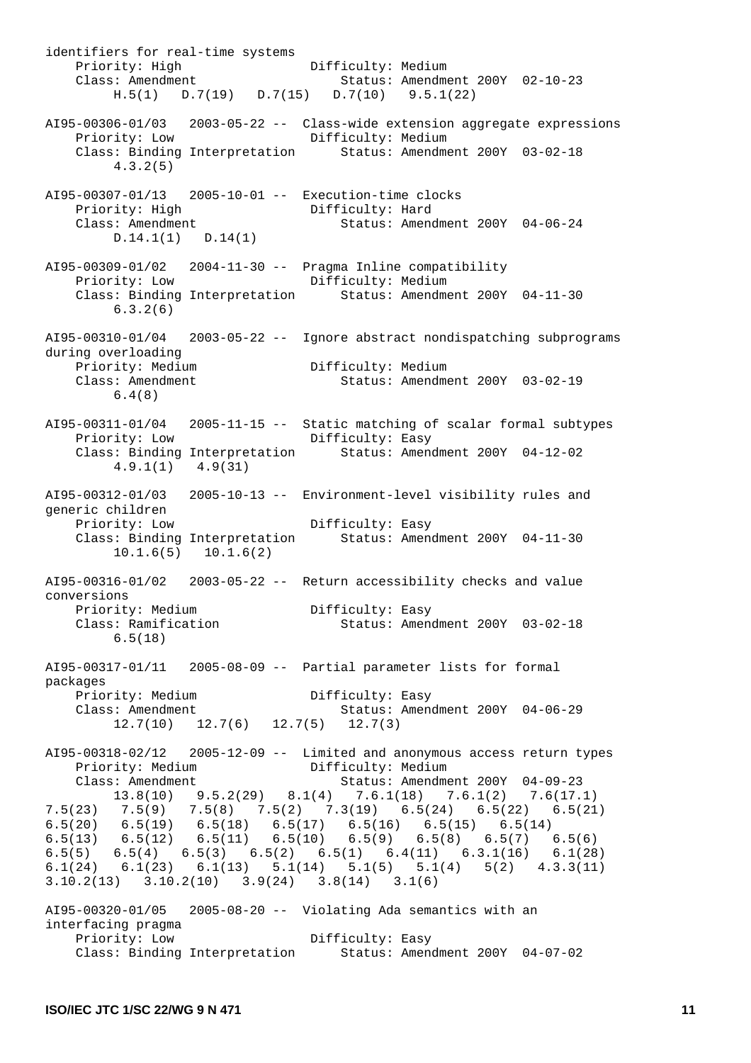identifiers for real-time systems Priority: High Difficulty: Medium Class: Amendment Difficulty: Medium Status: Amendment 200Y 02-10-23 H.5(1) D.7(19) D.7(15) D.7(10) 9.5.1(22) AI95-00306-01/03 2003-05-22 -- Class-wide extension aggregate expressions Difficulty: Medium Class: Binding Interpretation Status: Amendment 200Y 03-02-18 4.3.2(5) AI95-00307-01/13 2005-10-01 -- Execution-time clocks Priority: High Difficulty: Hard Class: Amendment Status: Amendment 200Y 04-06-24 D.14.1(1) D.14(1) AI95-00309-01/02 2004-11-30 -- Pragma Inline compatibility Priority: Low Difficulty: Medium Class: Binding Interpretation Status: Amendment 200Y 04-11-30 6.3.2(6) AI95-00310-01/04 2003-05-22 -- Ignore abstract nondispatching subprograms during overloading Priority: Medium and Difficulty: Medium Class: Amendment Status: Amendment 200Y 03-02-19 6.4(8) AI95-00311-01/04 2005-11-15 -- Static matching of scalar formal subtypes Priority: Low Difficulty: Easy Class: Binding Interpretation Status: Amendment 200Y 04-12-02 4.9.1(1) 4.9(31) AI95-00312-01/03 2005-10-13 -- Environment-level visibility rules and generic children Priority: Low Difficulty: Easy Class: Binding Interpretation Status: Amendment 200Y 04-11-30 10.1.6(5) 10.1.6(2) AI95-00316-01/02 2003-05-22 -- Return accessibility checks and value conversions Priority: Medium Bifficulty: Easy Class: Ramification Status: Amendment 200Y 03-02-18 6.5(18) AI95-00317-01/11 2005-08-09 -- Partial parameter lists for formal packages Priority: Medium Difficulty: Easy Status: Amendment 200Y 04-06-29 12.7(10) 12.7(6) 12.7(5) 12.7(3) AI95-00318-02/12 2005-12-09 -- Limited and anonymous access return types Priority: Medium Difficulty: Medium Class: Amendment Status: Amendment 200Y 04-09-23 13.8(10) 9.5.2(29) 8.1(4) 7.6.1(18) 7.6.1(2) 7.6(17.1) 7.5(23) 7.5(9) 7.5(8) 7.5(2) 7.3(19) 6.5(24) 6.5(22) 6.5(21)  $6.5(20)$   $6.5(19)$   $6.5(18)$   $6.5(17)$   $6.5(16)$   $6.5(15)$   $6.5(14)$ 6.5(13) 6.5(12) 6.5(11) 6.5(10) 6.5(9) 6.5(8) 6.5(7) 6.5(6) 6.5(5) 6.5(4) 6.5(3) 6.5(2) 6.5(1) 6.4(11) 6.3.1(16) 6.1(28) 6.1(24) 6.1(23) 6.1(13) 5.1(14) 5.1(5) 5.1(4) 5(2) 4.3.3(11) 3.10.2(13) 3.10.2(10) 3.9(24) 3.8(14) 3.1(6) AI95-00320-01/05 2005-08-20 -- Violating Ada semantics with an interfacing pragma Priority: Low Difficulty: Easy Class: Binding Interpretation Status: Amendment 200Y 04-07-02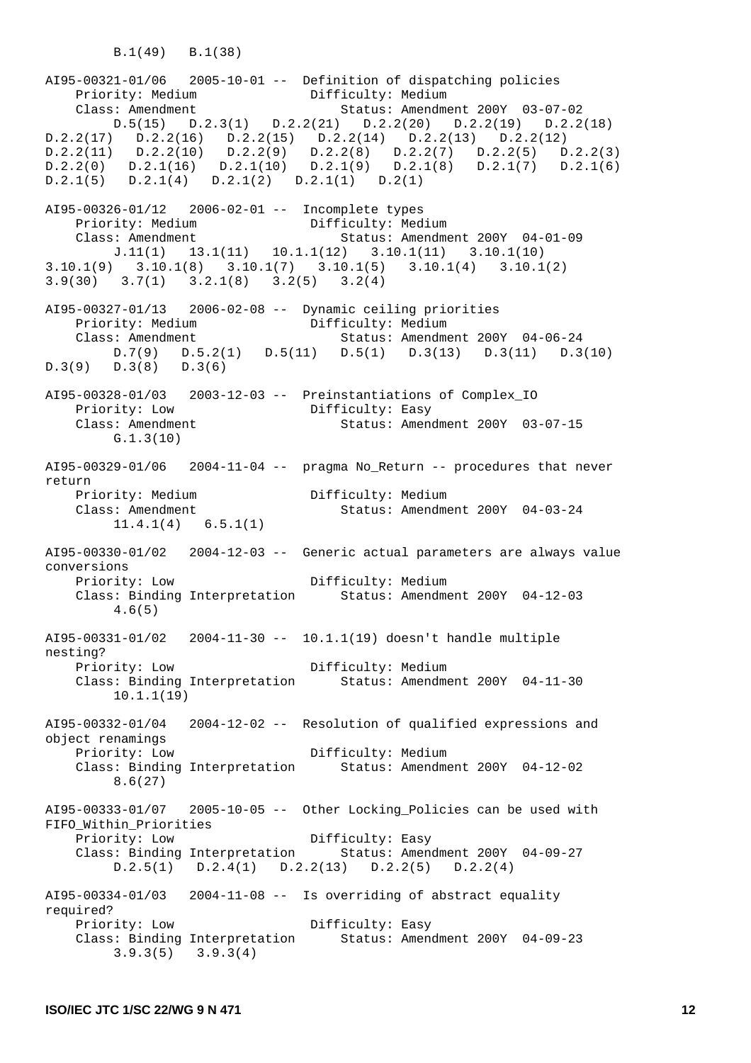B.1(49) B.1(38)

AI95-00321-01/06 2005-10-01 -- Definition of dispatching policies Priority: Medium Class: Amendment Status: Amendment 200Y 03-07-02 D.5(15) D.2.3(1) D.2.2(21) D.2.2(20) D.2.2(19) D.2.2(18) D.2.2(17) D.2.2(16) D.2.2(15) D.2.2(14) D.2.2(13) D.2.2(12) D.2.2(11) D.2.2(10) D.2.2(9) D.2.2(8) D.2.2(7) D.2.2(5) D.2.2(3)  $D.2.2(0)$   $D.2.1(16)$   $D.2.1(10)$   $D.2.1(9)$   $D.2.1(8)$   $D.2.1(7)$   $D.2.1(6)$ D.2.1(5) D.2.1(4) D.2.1(2) D.2.1(1) D.2(1) AI95-00326-01/12 2006-02-01 -- Incomplete types Priority: Medium <br>
Class: Amendment Difficulty: Medium Class: Amendment Status: Amendme Status: Amendment 200Y 04-01-09 J.11(1) 13.1(11) 10.1.1(12) 3.10.1(11) 3.10.1(10) 3.10.1(9) 3.10.1(8) 3.10.1(7) 3.10.1(5) 3.10.1(4) 3.10.1(2) 3.9(30) 3.7(1) 3.2.1(8) 3.2(5) 3.2(4) AI95-00327-01/13 2006-02-08 -- Dynamic ceiling priorities<br>Priority: Medium Difficulty: Medium Priority: Medium Class: Amendment Status: Amendment 200Y 04-06-24 D.7(9) D.5.2(1) D.5(11) D.5(1) D.3(13) D.3(11) D.3(10)  $D.3(9)$   $D.3(8)$   $D.3(6)$ AI95-00328-01/03 2003-12-03 -- Preinstantiations of Complex\_IO Priority: Low Difficulty: Easy<br>Class: Amendment Status: Ameno  $Status:$  Amendment 200Y 03-07-15 G.1.3(10) AI95-00329-01/06 2004-11-04 -- pragma No Return -- procedures that never return Priority: Medium Difficulty: Medium Class: Amendment Status: Amendment 200Y 04-03-24 11.4.1(4) 6.5.1(1) AI95-00330-01/02 2004-12-03 -- Generic actual parameters are always value conversions Priority: Low Difficulty: Medium Class: Binding Interpretation Status: Amendment 200Y 04-12-03 4.6(5) AI95-00331-01/02 2004-11-30 -- 10.1.1(19) doesn't handle multiple nesting? Priority: Low Difficulty: Medium Class: Binding Interpretation Status: Amendment 200Y 04-11-30 10.1.1(19) AI95-00332-01/04 2004-12-02 -- Resolution of qualified expressions and object renamings Priority: Low Difficulty: Medium Class: Binding Interpretation Status: Amendment 200Y 04-12-02 8.6(27)  $A195-00333-01/07$  2005-10-05 -- Other Locking Policies can be used with FIFO\_Within\_Priorities Priority: Low Difficulty: Easy Class: Binding Interpretation Status: Amendment 200Y 04-09-27 D.2.5(1) D.2.4(1) D.2.2(13) D.2.2(5) D.2.2(4)  $A195-00334-01/03$  2004-11-08 -- Is overriding of abstract equality required? Priority: Low Difficulty: Easy Class: Binding Interpretation Status: Amendment 200Y 04-09-23 3.9.3(5) 3.9.3(4)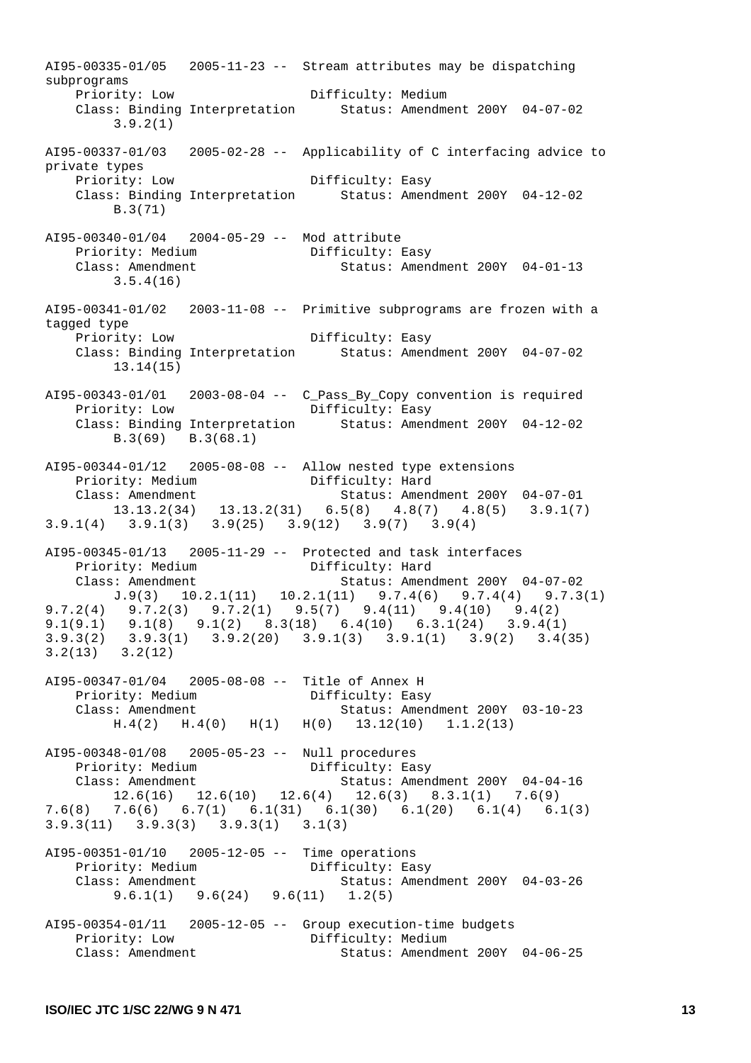AI95-00335-01/05 2005-11-23 -- Stream attributes may be dispatching subprograms<br>Priority: Low Difficulty: Medium Class: Binding Interpretation Status: Amendment 200Y 04-07-02 3.9.2(1) AI95-00337-01/03 2005-02-28 -- Applicability of C interfacing advice to private types Priority: Low Difficulty: Easy Class: Binding Interpretation Status: Amendment 200Y 04-12-02 B.3(71) AI95-00340-01/04 2004-05-29 -- Mod attribute<br>Priority: Medium Difficulty: Easy Priority: Medium<br>Class: Amendment Status: Amendment 200Y 04-01-13 3.5.4(16)  $A195-00341-01/02$  2003-11-08 -- Primitive subprograms are frozen with a tagged type Priority: Low Difficulty: Easy Class: Binding Interpretation Status: Amendment 200Y 04-07-02 13.14(15) AI95-00343-01/01 2003-08-04 -- C\_Pass\_By\_Copy convention is required Priority: Low Difficulty: Easy Class: Binding Interpretation Status: Amendment 200Y 04-12-02 B.3(69) B.3(68.1) AI95-00344-01/12 2005-08-08 -- Allow nested type extensions Priority: Medium Difficulty: Hard Class: Amendment Status: Amendment 200Y 04-07-01 13.13.2(34) 13.13.2(31) 6.5(8) 4.8(7) 4.8(5) 3.9.1(7) 3.9.1(4) 3.9.1(3) 3.9(25) 3.9(12) 3.9(7) 3.9(4) AI95-00345-01/13 2005-11-29 -- Protected and task interfaces Priority: Medium Difficulty: Hard<br>Class: Imagglantic Chatus: Image Class: Amendment Status: Amendment 200Y 04-07-02 J.9(3) 10.2.1(11) 10.2.1(11) 9.7.4(6) 9.7.4(4) 9.7.3(1) 9.7.2(4) 9.7.2(3) 9.7.2(1) 9.5(7) 9.4(11) 9.4(10) 9.4(2) 9.1(9.1) 9.1(8) 9.1(2) 8.3(18) 6.4(10) 6.3.1(24) 3.9.4(1) 3.9.3(2) 3.9.3(1) 3.9.2(20) 3.9.1(3) 3.9.1(1) 3.9(2) 3.4(35) 3.2(13) 3.2(12) AI95-00347-01/04 2005-08-08 -- Title of Annex H Priority: Medium <br>
Class: Amendment Class: Amendment Status: Amend Status: Amendment 200Y 03-10-23 H.4(2) H.4(0) H(1) H(0) 13.12(10) 1.1.2(13) AI95-00348-01/08 2005-05-23 -- Null procedures Priority: Medium  $\text{Difficulty: Easy}$ <br>Class: Americant Status: American Class: Amendment Status: Amendment 200Y 04-04-16 12.6(16) 12.6(10) 12.6(4) 12.6(3) 8.3.1(1) 7.6(9) 7.6(8) 7.6(6) 6.7(1) 6.1(31) 6.1(30) 6.1(20) 6.1(4) 6.1(3) 3.9.3(11) 3.9.3(3) 3.9.3(1) 3.1(3) AI95-00351-01/10 2005-12-05 -- Time operations Priority: Medium Difficulty: Easy<br>
Class: Americans: Americans: Americans: Americans: Americans: Americans: Americans<br>
Status: Americans Class: Amendment Status: Amendment 200Y 04-03-26 9.6.1(1) 9.6(24) 9.6(11) 1.2(5) AI95-00354-01/11 2005-12-05 -- Group execution-time budgets Priority: Low Difficulty: Medium Class: Amendment Status: Amendment 200Y 04-06-25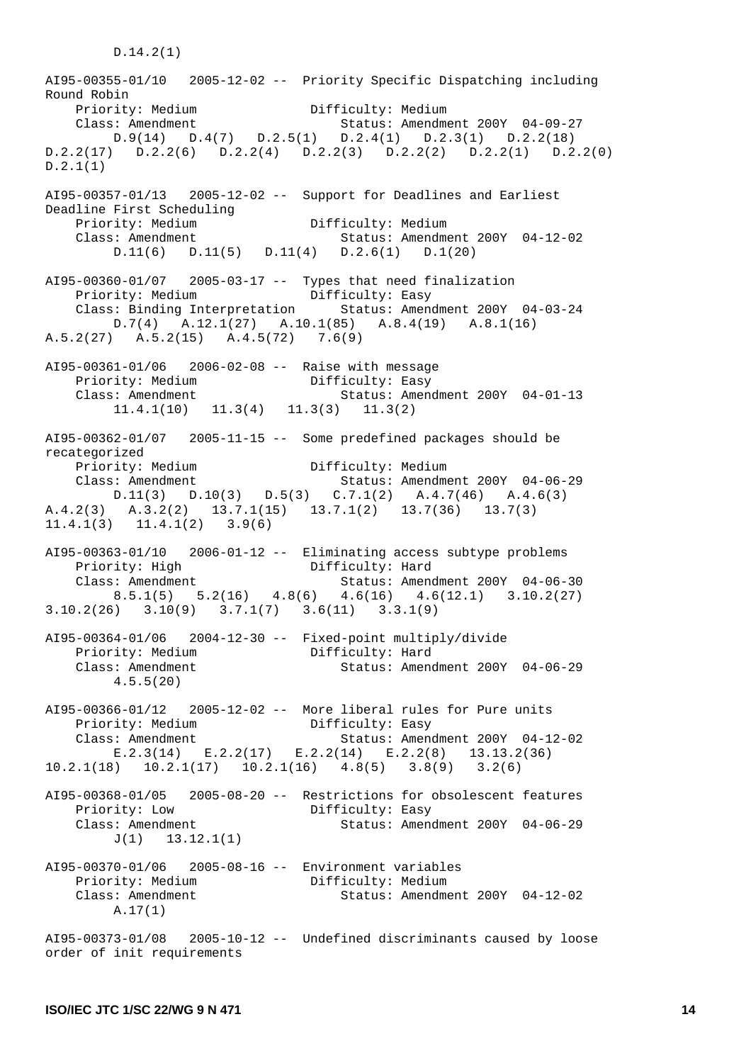AI95-00355-01/10 2005-12-02 -- Priority Specific Dispatching including Round Robin Priority: Medium Difficulty: Medium Class: Amendment Status: Amendment 200Y 04-09-27 D.9(14) D.4(7) D.2.5(1) D.2.4(1) D.2.3(1) D.2.2(18) D.2.2(17) D.2.2(6) D.2.2(4) D.2.2(3) D.2.2(2) D.2.2(1) D.2.2(0) D.2.1(1) AI95-00357-01/13 2005-12-02 -- Support for Deadlines and Earliest Deadline First Scheduling Priority: Medium and Difficulty: Medium Class: Amendment Status: Amendment Status: Amendment 200Y 04-12-02 D.11(6) D.11(5) D.11(4) D.2.6(1) D.1(20) AI95-00360-01/07 2005-03-17 -- Types that need finalization Priority: Medium Difficulty: Easy Class: Binding Interpretation Status: Amendment 200Y 04-03-24 D.7(4) A.12.1(27) A.10.1(85) A.8.4(19) A.8.1(16) A.5.2(27) A.5.2(15) A.4.5(72) 7.6(9) AI95-00361-01/06 2006-02-08 -- Raise with message Priority: Medium Difficulty: Easy<br>Class: Amendment Status: Amen Class: Amendment Status: Amendment 200Y 04-01-13  $11.4.1(10)$   $11.3(4)$   $11.3(3)$   $11.3(2)$ AI95-00362-01/07 2005-11-15 -- Some predefined packages should be recategorized Priority: Medium Difficulty: Medium Class: Amendment Status: Amendment 200Y 04-06-29  $D.11(3)$   $D.10(3)$   $D.5(3)$   $C.7.1(2)$   $A.4.7(46)$   $A.4.6(3)$ A.4.2(3) A.3.2(2) 13.7.1(15) 13.7.1(2) 13.7(36) 13.7(3) 11.4.1(3) 11.4.1(2) 3.9(6) AI95-00363-01/10 2006-01-12 -- Eliminating access subtype problems Priority: High Difficulty: Hard Class: Amendment Status: Amendment 200Y 04-06-30  $8.5.1(5)$   $5.2(16)$   $4.8(6)$   $4.6(16)$   $4.6(12.1)$   $3.10.2(27)$ 3.10.2(26) 3.10(9) 3.7.1(7) 3.6(11) 3.3.1(9) AI95-00364-01/06 2004-12-30 -- Fixed-point multiply/divide Priority: Medium Difficulty: Hard Class: Amendment Status: Amendment 200Y 04-06-29 4.5.5(20) AI95-00366-01/12 2005-12-02 -- More liberal rules for Pure units Priority: Medium Class: Amendment Status: Amendment 200Y 04-12-02 E.2.3(14) E.2.2(17) E.2.2(14) E.2.2(8) 13.13.2(36) 10.2.1(18) 10.2.1(17) 10.2.1(16) 4.8(5) 3.8(9) 3.2(6) AI95-00368-01/05 2005-08-20 -- Restrictions for obsolescent features Priority: Low Difficulty: Easy Class: Amendment Status: Amendment 200Y 04-06-29 J(1) 13.12.1(1) AI95-00370-01/06 2005-08-16 -- Environment variables Priority: Medium Difficulty: Medium Class: Amendment Status: Amendment 200Y 04-12-02 A.17(1) AI95-00373-01/08 2005-10-12 -- Undefined discriminants caused by loose order of init requirements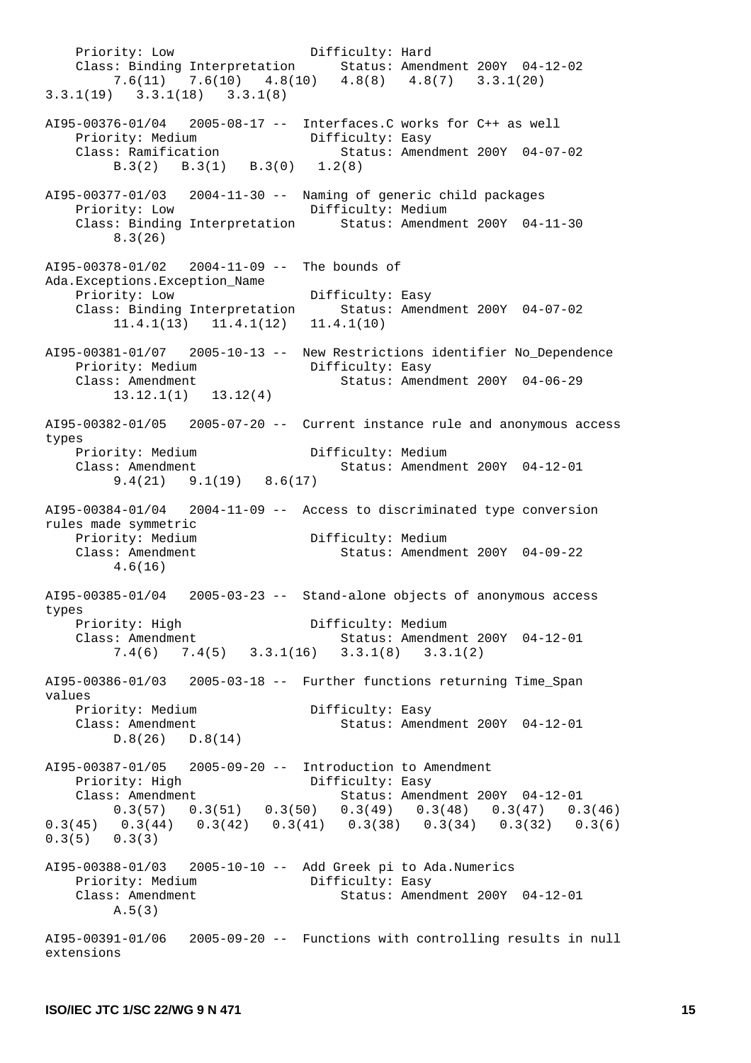Priority: Low Difficulty: Hard Class: Binding Interpretation Status: Amendment 200Y 04-12-02 7.6(11) 7.6(10) 4.8(10) 4.8(8) 4.8(7) 3.3.1(20) 3.3.1(19) 3.3.1(18) 3.3.1(8) AI95-00376-01/04 2005-08-17 -- Interfaces.C works for C++ as well Priority: Medium Bifficulty: Easy Class: Ramification Status: Amendment 200Y 04-07-02 B.3(2) B.3(1) B.3(0) 1.2(8) AI95-00377-01/03 2004-11-30 -- Naming of generic child packages Priority: Low Difficulty: Medium Class: Binding Interpretation Status: Amendment 200Y 04-11-30 8.3(26) AI95-00378-01/02 2004-11-09 -- The bounds of Ada.Exceptions.Exception\_Name Priority: Low Difficulty: Easy Class: Binding Interpretation Status: Amendment 200Y 04-07-02 11.4.1(13) 11.4.1(12) 11.4.1(10) AI95-00381-01/07 2005-10-13 -- New Restrictions identifier No\_Dependence Priority: Medium Bifficulty: Easy Class: Amendment Status: Amendment 200Y 04-06-29 13.12.1(1) 13.12(4) AI95-00382-01/05 2005-07-20 -- Current instance rule and anonymous access types Priority: Medium Difficulty: Medium Class: Amendment Status: Amendment 200Y 04-12-01 9.4(21) 9.1(19) 8.6(17)  $A195-00384-01/04$  2004-11-09 -- Access to discriminated type conversion rules made symmetric Priority: Medium Difficulty: Medium<br>Class: Amondment Class Class: Amondment Class: Amendment Status: Amendment 200Y 04-09-22 4.6(16) AI95-00385-01/04 2005-03-23 -- Stand-alone objects of anonymous access types Priority: High Difficulty: Medium<br>Class: Amendment Status: America Status: Amendment 200Y 04-12-01 7.4(6) 7.4(5) 3.3.1(16) 3.3.1(8) 3.3.1(2) AI95-00386-01/03 2005-03-18 -- Further functions returning Time\_Span values Priority: Medium Difficulty: Easy<br>Class: Amendment Class: Amendment Status: Amendment 200Y 04-12-01 D.8(26) D.8(14) AI95-00387-01/05 2005-09-20 -- Introduction to Amendment<br>Priority: High Difficulty: Easy Priority: High Class: Amendment Status: Amendment 200Y 04-12-01  $0.3(57)$   $0.3(51)$   $0.3(50)$   $0.3(49)$   $0.3(48)$   $0.3(47)$   $0.3(46)$ 0.3(45) 0.3(44) 0.3(42) 0.3(41) 0.3(38) 0.3(34) 0.3(32) 0.3(6) 0.3(5) 0.3(3) AI95-00388-01/03 2005-10-10 -- Add Greek pi to Ada.Numerics Priority: Medium Difficulty: Easy Class: Amendment Status: Amendment 200Y 04-12-01 A.5(3) AI95-00391-01/06 2005-09-20 -- Functions with controlling results in null extensions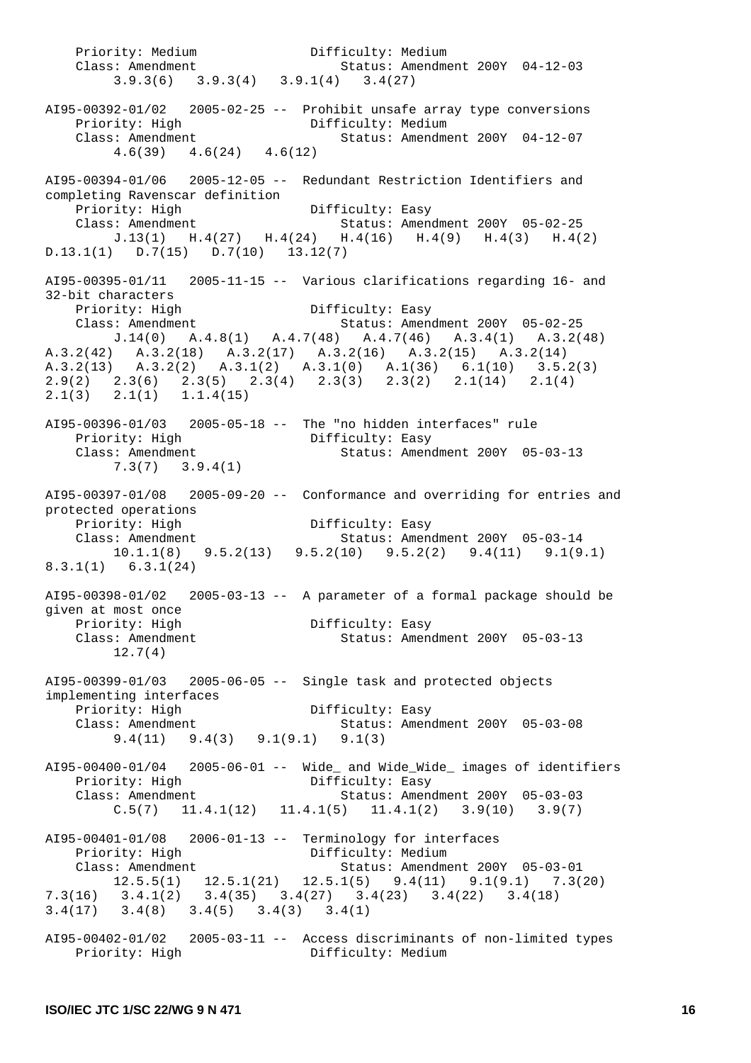Priority: Medium Difficulty: Medium Class: Amendment Status: Amendment 200Y 04-12-03 3.9.3(6) 3.9.3(4) 3.9.1(4) 3.4(27)  $A195-00392-01/02$  2005-02-25 -- Prohibit unsafe array type conversions Priority: High Difficulty: Medium<br>Class: Americans Class: Amendment Status: Amendment 200Y 04-12-07 4.6(39) 4.6(24) 4.6(12) AI95-00394-01/06 2005-12-05 -- Redundant Restriction Identifiers and completing Ravenscar definition Priority: High Difficulty: Easy Class: Amendment Status: Amendment 200Y 05-02-25 J.13(1) H.4(27) H.4(24) H.4(16) H.4(9) H.4(3) H.4(2) D.13.1(1) D.7(15) D.7(10) 13.12(7) AI95-00395-01/11 2005-11-15 -- Various clarifications regarding 16- and 32-bit characters Priority: High Difficulty: Easy<br>Class: Amendment Status: Amend Status: Amendment 200Y 05-02-25 J.14(0) A.4.8(1) A.4.7(48) A.4.7(46) A.3.4(1) A.3.2(48) A.3.2(42) A.3.2(18) A.3.2(17) A.3.2(16) A.3.2(15) A.3.2(14) A.3.2(13) A.3.2(2) A.3.1(2) A.3.1(0) A.1(36) 6.1(10) 3.5.2(3) 2.9(2) 2.3(6) 2.3(5) 2.3(4) 2.3(3) 2.3(2) 2.1(14) 2.1(4) 2.1(3) 2.1(1) 1.1.4(15) AI95-00396-01/03 2005-05-18 -- The "no hidden interfaces" rule Priority: High Difficulty: Easy Class: Amendment Status: Amendment 200Y 05-03-13 7.3(7) 3.9.4(1) AI95-00397-01/08 2005-09-20 -- Conformance and overriding for entries and protected operations Priority: High Difficulty: Easy Class: Amendment Status: Amendment 200Y 05-03-14 10.1.1(8) 9.5.2(13) 9.5.2(10) 9.5.2(2) 9.4(11) 9.1(9.1) 8.3.1(1) 6.3.1(24) AI95-00398-01/02 2005-03-13 -- A parameter of a formal package should be given at most once Priority: High Difficulty: Easy Status: Amendment 200Y 05-03-13  $\text{Class: } \text{Amendment}$ <br> $12.7(4)$ AI95-00399-01/03 2005-06-05 -- Single task and protected objects implementing interfaces Priority: High Difficulty: Easy Class: Amendment Status: Amendment 200Y 05-03-08 9.4(11) 9.4(3) 9.1(9.1) 9.1(3) AI95-00400-01/04 2005-06-01 -- Wide\_ and Wide\_Wide\_ images of identifiers Priority: High Difficulty: Easy<br>Class: Amendment Status: Ameno Class: Amendment Status: Amendment 200Y 05-03-03  $C.5(7)$  11.4.1(12) 11.4.1(5) 11.4.1(2) 3.9(10) 3.9(7) AI95-00401-01/08 2006-01-13 -- Terminology for interfaces Priority: High Difficulty: Medium Class: Amendment Status: Amendment 200Y 05-03-01 12.5.5(1) 12.5.1(21) 12.5.1(5) 9.4(11) 9.1(9.1) 7.3(20) 7.3(16) 3.4.1(2) 3.4(35) 3.4(27) 3.4(23) 3.4(22) 3.4(18) 3.4(17) 3.4(8) 3.4(5) 3.4(3) 3.4(1) AI95-00402-01/02 2005-03-11 -- Access discriminants of non-limited types Priority: High Difficulty: Medium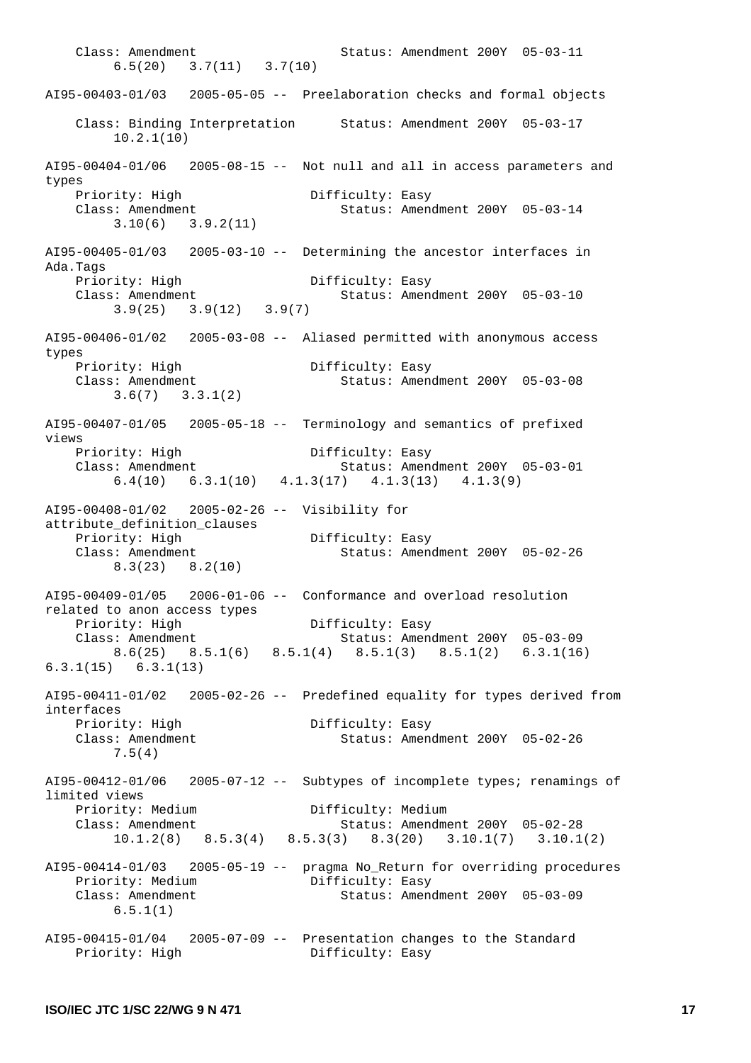Class: Amendment Status: Amendment 200Y 05-03-11 6.5(20) 3.7(11) 3.7(10) AI95-00403-01/03 2005-05-05 -- Preelaboration checks and formal objects Class: Binding Interpretation Status: Amendment 200Y 05-03-17 10.2.1(10)  $A195-00404-01/06$  2005-08-15 -- Not null and all in access parameters and types Priority: High Difficulty: Easy Class: Amendment Status: Amendment 200Y 05-03-14 3.10(6) 3.9.2(11) AI95-00405-01/03 2005-03-10 -- Determining the ancestor interfaces in Ada.Tags Priority: High Difficulty: Easy Class: Amendment Status: Amend Status: Amendment 200Y 05-03-10 3.9(25) 3.9(12) 3.9(7) AI95-00406-01/02 2005-03-08 -- Aliased permitted with anonymous access types Priority: High Difficulty: Easy<br>Class: Amendment Status: Amend Status: Amendment 200Y 05-03-08 3.6(7) 3.3.1(2) AI95-00407-01/05 2005-05-18 -- Terminology and semantics of prefixed views Priority: High Difficulty: Easy<br>Class: Amendment Status: Amend Status: Amendment 200Y 05-03-01 6.4(10) 6.3.1(10) 4.1.3(17) 4.1.3(13) 4.1.3(9) AI95-00408-01/02 2005-02-26 -- Visibility for attribute\_definition\_clauses Priority: High Difficulty: Easy Class: Amendment Status: Amendment 200Y 05-02-26 8.3(23) 8.2(10) AI95-00409-01/05 2006-01-06 -- Conformance and overload resolution related to anon access types Priority: High Difficulty: Easy<br>Class: Imagement Class: Amendment Status: Amendment 200Y 05-03-09 8.6(25) 8.5.1(6) 8.5.1(4) 8.5.1(3) 8.5.1(2) 6.3.1(16) 6.3.1(15) 6.3.1(13) AI95-00411-01/02 2005-02-26 -- Predefined equality for types derived from interfaces Priority: High Difficulty: Easy<br>Class: Amendment Class: Amendment Status: Amendment 200Y 05-02-26 7.5(4) AI95-00412-01/06 2005-07-12 -- Subtypes of incomplete types; renamings of limited views Priority: Medium<br>
Class: Amordmont Class: Amendment Status: Amendment 200Y 05-02-28 10.1.2(8) 8.5.3(4) 8.5.3(3) 8.3(20) 3.10.1(7) 3.10.1(2) AI95-00414-01/03 2005-05-19 -- pragma No\_Return for overriding procedures Priority: Medium Difficulty: Easy Class: Amendment Status: Amendment 200Y 05-03-09 6.5.1(1) AI95-00415-01/04 2005-07-09 -- Presentation changes to the Standard Priority: High Difficulty: Easy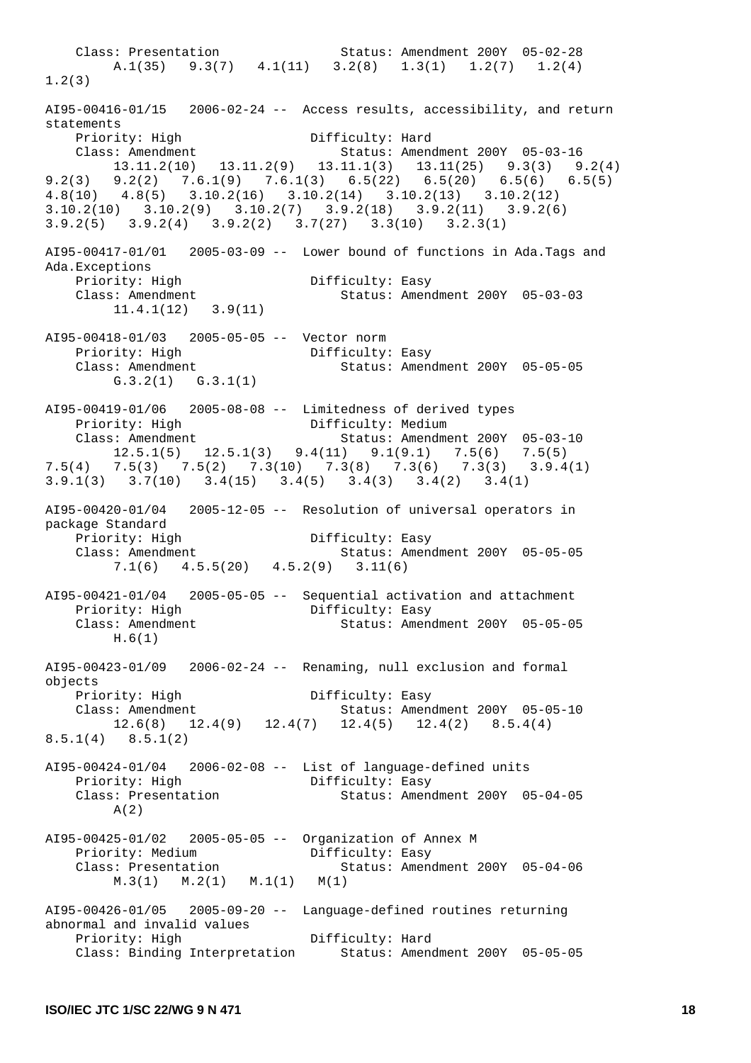Class: Presentation Status: Amendment 200Y 05-02-28 A.1(35) 9.3(7)  $4.1(11)$  3.2(8)  $1.3(1)$   $1.2(7)$   $1.2(4)$ 1.2(3)  $A195-00416-01/15$  2006-02-24 -- Access results, accessibility, and return statements Priority: High Difficulty: Hard Class: Amendment Status: Amendment 200Y 05-03-16 13.11.2(10) 13.11.2(9) 13.11.1(3) 13.11(25) 9.3(3) 9.2(4) 9.2(3) 9.2(2) 7.6.1(9) 7.6.1(3) 6.5(22) 6.5(20) 6.5(6) 6.5(5) 4.8(10) 4.8(5) 3.10.2(16) 3.10.2(14) 3.10.2(13) 3.10.2(12) 3.10.2(10) 3.10.2(9) 3.10.2(7) 3.9.2(18) 3.9.2(11) 3.9.2(6) 3.9.2(5) 3.9.2(4) 3.9.2(2) 3.7(27) 3.3(10) 3.2.3(1) AI95-00417-01/01 2005-03-09 -- Lower bound of functions in Ada.Tags and Ada.Exceptions Priority: High Difficulty: Easy<br>Class: Amendment Status: Amend Status: Amendment 200Y 05-03-03 11.4.1(12) 3.9(11) AI95-00418-01/03 2005-05-05 -- Vector norm Priority: High Difficulty: Easy<br>Class: Amendment Status: Amen Status: Amendment 200Y 05-05-05 G.3.2(1) G.3.1(1) AI95-00419-01/06 2005-08-08 -- Limitedness of derived types Priority: High Difficulty: Medium Class: Amendment Status: Amendment 200Y 05-03-10 12.5.1(5) 12.5.1(3) 9.4(11) 9.1(9.1) 7.5(6) 7.5(5) 7.5(4) 7.5(3) 7.5(2) 7.3(10) 7.3(8) 7.3(6) 7.3(3) 3.9.4(1) 3.9.1(3) 3.7(10) 3.4(15) 3.4(5) 3.4(3) 3.4(2) 3.4(1) AI95-00420-01/04 2005-12-05 -- Resolution of universal operators in package Standard Priority: High Difficulty: Easy Class: Amendment Status: Amendment 200Y 05-05-05 7.1(6) 4.5.5(20) 4.5.2(9) 3.11(6) AI95-00421-01/04 2005-05-05 -- Sequential activation and attachment Priority: High Difficulty: Easy Class: Amendment Status: Amendment 200Y 05-05-05 H.6(1) AI95-00423-01/09 2006-02-24 -- Renaming, null exclusion and formal objects Priority: High Difficulty: Easy Class: Amendment Status: Amendment 200Y 05-05-10 12.6(8) 12.4(9) 12.4(7) 12.4(5) 12.4(2) 8.5.4(4) 8.5.1(4) 8.5.1(2) AI95-00424-01/04 2006-02-08 -- List of language-defined units Priority: High Class: Presentation Status: Amendment 200Y 05-04-05 A(2) AI95-00425-01/02 2005-05-05 -- Organization of Annex M Priority: Medium Difficulty: Easy<br>Class: Presentation Status: Ameng Class: Presentation Status: Amendment 200Y 05-04-06 M.3(1) M.2(1) M.1(1) M(1) AI95-00426-01/05 2005-09-20 -- Language-defined routines returning abnormal and invalid values Priority: High Difficulty: Hard Class: Binding Interpretation Status: Amendment 200Y 05-05-05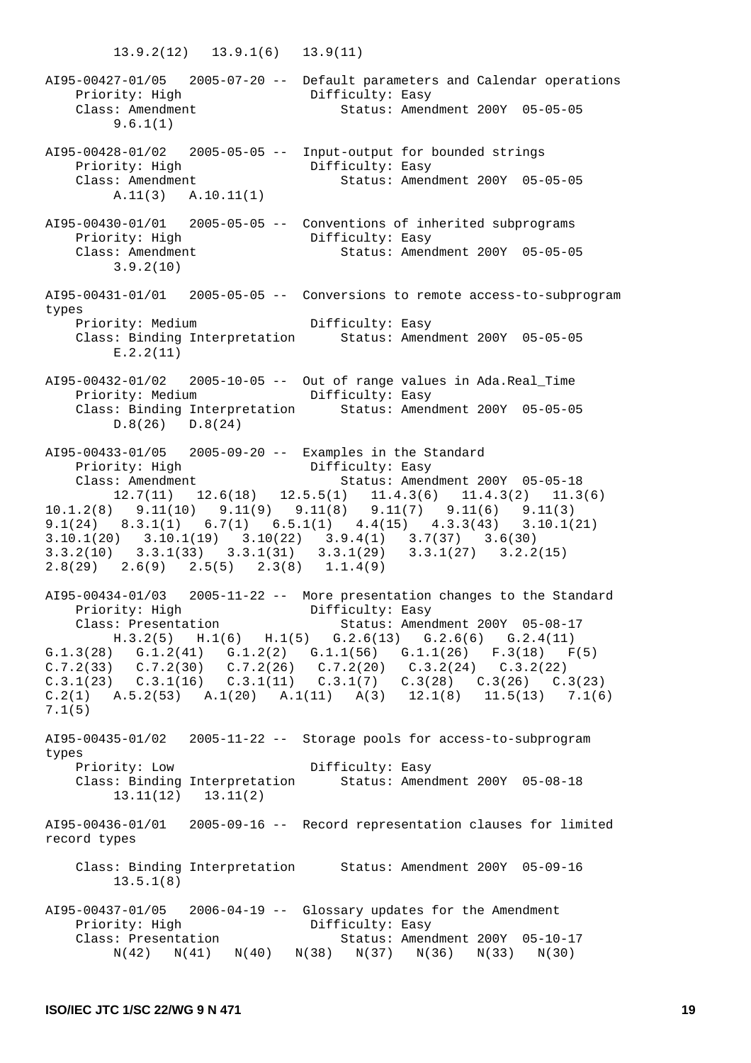13.9.2(12) 13.9.1(6) 13.9(11) AI95-00427-01/05 2005-07-20 -- Default parameters and Calendar operations Priority: High Difficulty: Easy Class: Amendment Status: Amendment 200Y 05-05-05 9.6.1(1) AI95-00428-01/02 2005-05-05 -- Input-output for bounded strings Priority: High Difficulty: Easy Class: Amendment Status: Amendment 200Y 05-05-05 A.11(3) A.10.11(1) AI95-00430-01/01 2005-05-05 -- Conventions of inherited subprograms Priority: High Class: Amendment Status: Amendment 200Y 05-05-05 3.9.2(10) AI95-00431-01/01 2005-05-05 -- Conversions to remote access-to-subprogram types Priority: Medium Difficulty: Easy<br>Class: Binding Interpretation Status: Amen Status: Amendment 200Y 05-05-05 E.2.2(11) AI95-00432-01/02 2005-10-05 -- Out of range values in Ada.Real\_Time Priority: Medium Difficulty: Easy Class: Binding Interpretation Status: Amendment 200Y 05-05-05 D.8(26) D.8(24) AI95-00433-01/05 2005-09-20 -- Examples in the Standard Priority: High Class: Amendment Status: Amendment 200Y 05-05-18 12.7(11) 12.6(18) 12.5.5(1) 11.4.3(6) 11.4.3(2) 11.3(6) 10.1.2(8) 9.11(10) 9.11(9) 9.11(8) 9.11(7) 9.11(6) 9.11(3) 9.1(24) 8.3.1(1) 6.7(1) 6.5.1(1) 4.4(15) 4.3.3(43) 3.10.1(21) 3.10.1(20) 3.10.1(19) 3.10(22) 3.9.4(1) 3.7(37) 3.6(30) 3.3.2(10) 3.3.1(33) 3.3.1(31) 3.3.1(29) 3.3.1(27) 3.2.2(15) 2.8(29) 2.6(9) 2.5(5) 2.3(8) 1.1.4(9) AI95-00434-01/03 2005-11-22 -- More presentation changes to the Standard Priority: High Difficulty: Easy<br>Class: Presentation Class: Presentation Status: Amendment 200Y 05-08-17 H.3.2(5) H.1(6) H.1(5) G.2.6(13) G.2.6(6) G.2.4(11) G.1.3(28) G.1.2(41) G.1.2(2) G.1.1(56) G.1.1(26) F.3(18) F(5)  $C.7.2(33)$   $C.7.2(30)$   $C.7.2(26)$   $C.7.2(20)$   $C.3.2(24)$   $C.3.2(22)$ C.3.1(23) C.3.1(16) C.3.1(11) C.3.1(7) C.3(28) C.3(26) C.3(23)  $C.2(1)$  A.5.2(53) A.1(20) A.1(11) A(3) 12.1(8) 11.5(13) 7.1(6) 7.1(5) AI95-00435-01/02 2005-11-22 -- Storage pools for access-to-subprogram types Priority: Low Difficulty: Easy Class: Binding Interpretation Status: Amendment 200Y 05-08-18 13.11(12) 13.11(2) AI95-00436-01/01 2005-09-16 -- Record representation clauses for limited record types Class: Binding Interpretation Status: Amendment 200Y 05-09-16 13.5.1(8) AI95-00437-01/05 2006-04-19 -- Glossary updates for the Amendment Priority: High Difficulty: Easy Class: Presentation 61 Status: Amendment 200Y 05-10-17 N(42) N(41) N(40) N(38) N(37) N(36) N(33) N(30)